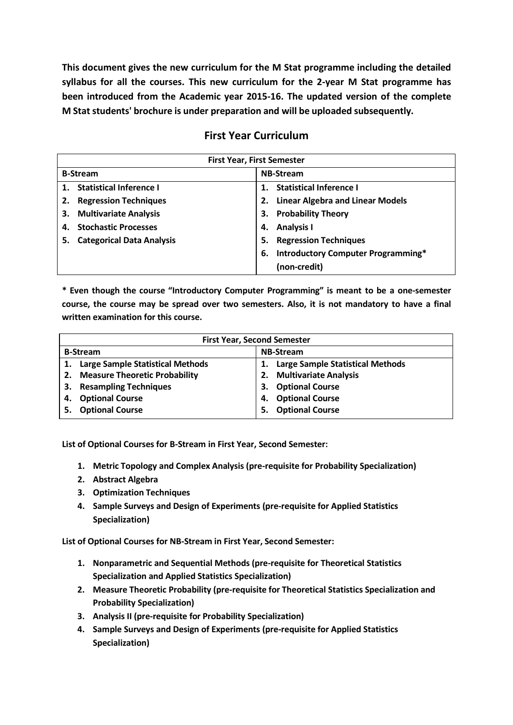**This document gives the new curriculum for the M Stat programme including the detailed syllabus for all the courses. This new curriculum for the 2-year M Stat programme has been introduced from the Academic year 2015-16. The updated version of the complete M Stat students' brochure is under preparation and will be uploaded subsequently.**

## **First Year Curriculum**

| <b>First Year, First Semester</b>      |                                                 |  |  |
|----------------------------------------|-------------------------------------------------|--|--|
| <b>B-Stream</b>                        | <b>NB-Stream</b>                                |  |  |
| 1. Statistical Inference I             | <b>Statistical Inference I</b>                  |  |  |
| <b>Regression Techniques</b>           | <b>Linear Algebra and Linear Models</b>         |  |  |
| <b>Multivariate Analysis</b><br>З.     | <b>Probability Theory</b><br>З.                 |  |  |
| <b>Stochastic Processes</b>            | <b>Analysis I</b><br>4.                         |  |  |
| <b>Categorical Data Analysis</b><br>5. | <b>Regression Techniques</b><br>5.              |  |  |
|                                        | <b>Introductory Computer Programming*</b><br>6. |  |  |
|                                        | (non-credit)                                    |  |  |

**\* Even though the course "Introductory Computer Programming" is meant to be a one-semester course, the course may be spread over two semesters. Also, it is not mandatory to have a final written examination for this course.**

| <b>First Year, Second Semester</b> |                                      |                  |                                         |
|------------------------------------|--------------------------------------|------------------|-----------------------------------------|
| <b>B-Stream</b>                    |                                      | <b>NB-Stream</b> |                                         |
|                                    | 1. Large Sample Statistical Methods  | 1.               | <b>Large Sample Statistical Methods</b> |
| 2.                                 | <b>Measure Theoretic Probability</b> | 2.               | <b>Multivariate Analysis</b>            |
| З.                                 | <b>Resampling Techniques</b>         | З.               | <b>Optional Course</b>                  |
| <b>Optional Course</b><br>4.       |                                      | 4.               | <b>Optional Course</b>                  |
| <b>Optional Course</b><br>5.       |                                      | 5.               | <b>Optional Course</b>                  |

**List of Optional Courses for B-Stream in First Year, Second Semester:**

- **1. Metric Topology and Complex Analysis (pre-requisite for Probability Specialization)**
- **2. Abstract Algebra**
- **3. Optimization Techniques**
- **4. Sample Surveys and Design of Experiments (pre-requisite for Applied Statistics Specialization)**

**List of Optional Courses for NB-Stream in First Year, Second Semester:**

- **1. Nonparametric and Sequential Methods (pre-requisite for Theoretical Statistics Specialization and Applied Statistics Specialization)**
- **2. Measure Theoretic Probability (pre-requisite for Theoretical Statistics Specialization and Probability Specialization)**
- **3. Analysis II (pre-requisite for Probability Specialization)**
- **4. Sample Surveys and Design of Experiments (pre-requisite for Applied Statistics Specialization)**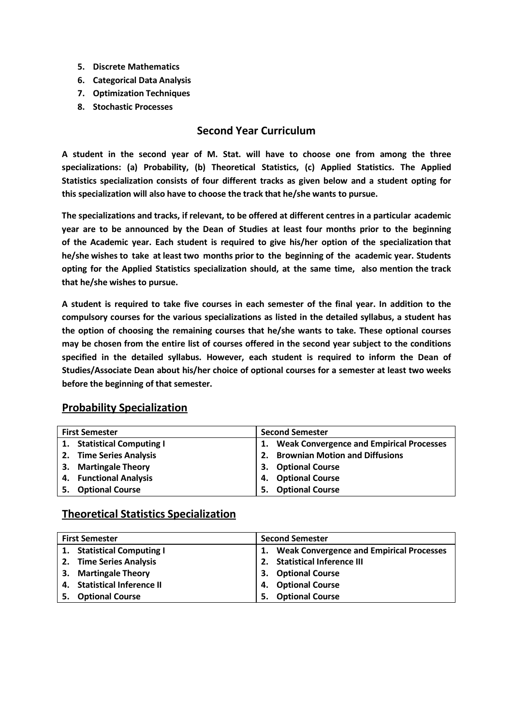- **5. Discrete Mathematics**
- **6. Categorical Data Analysis**
- **7. Optimization Techniques**
- **8. Stochastic Processes**

### **Second Year Curriculum**

**A student in the second year of M. Stat. will have to choose one from among the three specializations: (a) Probability, (b) Theoretical Statistics, (c) Applied Statistics. The Applied Statistics specialization consists of four different tracks as given below and a student opting for this specialization will also have to choose the track that he/she wants to pursue.**

**The specializations and tracks, if relevant, to be offered at different centres in a particular academic year are to be announced by the Dean of Studies at least four months prior to the beginning of the Academic year. Each student is required to give his/her option of the specialization that he/she wishes to take at least two months prior to the beginning of the academic year. Students opting for the Applied Statistics specialization should, at the same time, also mention the track that he/she wishes to pursue.**

A student is required to take five courses in each semester of the final year. In addition to the **compulsory courses for the various specializations as listed in the detailed syllabus, a student has the option of choosing the remaining courses that he/she wants to take. These optional courses may be chosen from the entire list of courses offered in the second year subject to the conditions specified in the detailed syllabus. However, each student is required to inform the Dean of Studies/Associate Dean about his/her choice of optional courses for a semester at least two weeks before the beginning of that semester.**

#### **First Semester Second Semester 1. Statistical Computing I 2. Time Series Analysis 3. Martingale Theory 4. Functional Analysis 5. Optional Course 1. Weak Convergence and Empirical Processes 2. Brownian Motion and Diffusions 3. Optional Course 4. Optional Course 5. Optional Course**

### **Probability Specialization**

### **Theoretical Statistics Specialization**

| <b>First Semester</b> |                             | <b>Second Semester</b> |                                                 |  |
|-----------------------|-----------------------------|------------------------|-------------------------------------------------|--|
|                       | 1. Statistical Computing I  |                        | <b>Weak Convergence and Empirical Processes</b> |  |
|                       | 2. Time Series Analysis     |                        | 2. Statistical Inference III                    |  |
|                       | 3. Martingale Theory        |                        | 3. Optional Course                              |  |
|                       | 4. Statistical Inference II |                        | 4. Optional Course                              |  |
|                       | 5. Optional Course          | 5.                     | <b>Optional Course</b>                          |  |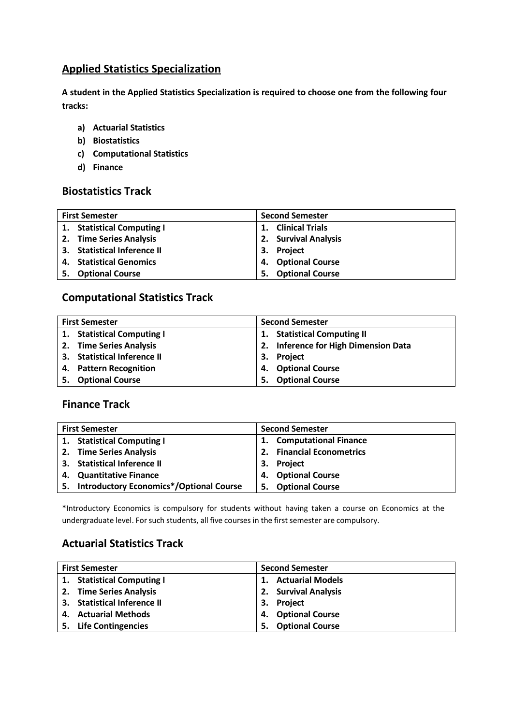### **Applied Statistics Specialization**

**A student in the Applied Statistics Specialization is required to choose one from the following four tracks:**

- **a) Actuarial Statistics**
- **b) Biostatistics**
- **c) Computational Statistics**
- **d) Finance**

### **Biostatistics Track**

| <b>First Semester</b> |                             | <b>Second Semester</b> |                        |  |
|-----------------------|-----------------------------|------------------------|------------------------|--|
|                       | 1. Statistical Computing I  | 1.                     | <b>Clinical Trials</b> |  |
|                       | 2. Time Series Analysis     |                        | 2. Survival Analysis   |  |
|                       | 3. Statistical Inference II |                        | 3. Project             |  |
|                       | 4. Statistical Genomics     |                        | 4. Optional Course     |  |
|                       | 5. Optional Course          | 5.                     | <b>Optional Course</b> |  |

### **Computational Statistics Track**

| <b>First Semester</b> |                             | <b>Second Semester</b> |                                      |  |
|-----------------------|-----------------------------|------------------------|--------------------------------------|--|
|                       | 1. Statistical Computing I  | 1.                     | <b>Statistical Computing II</b>      |  |
|                       | 2. Time Series Analysis     |                        | 2. Inference for High Dimension Data |  |
|                       | 3. Statistical Inference II |                        | 3. Project                           |  |
|                       | 4. Pattern Recognition      |                        | 4. Optional Course                   |  |
|                       | 5. Optional Course          | 5.                     | <b>Optional Course</b>               |  |

### **Finance Track**

| <b>Second Semester</b><br><b>First Semester</b> |                                            |                      |                              |
|-------------------------------------------------|--------------------------------------------|----------------------|------------------------------|
|                                                 | 1. Statistical Computing I                 | 1.                   | <b>Computational Finance</b> |
|                                                 | 2. Time Series Analysis                    |                      | 2. Financial Econometrics    |
|                                                 | 3. Statistical Inference II                | <b>Project</b><br>3. |                              |
|                                                 | 4. Quantitative Finance                    | 4.                   | <b>Optional Course</b>       |
|                                                 | 5. Introductory Economics*/Optional Course | 5.                   | <b>Optional Course</b>       |

\*Introductory Economics is compulsory for students without having taken a course on Economics at the undergraduate level. For such students, all five courses in the first semester are compulsory.

### **Actuarial Statistics Track**

| <b>First Semester</b>       | <b>Second Semester</b>       |  |  |  |
|-----------------------------|------------------------------|--|--|--|
| 1. Statistical Computing I  | <b>Actuarial Models</b>      |  |  |  |
| 2. Time Series Analysis     | 2. Survival Analysis         |  |  |  |
| 3. Statistical Inference II | 3. Project                   |  |  |  |
| 4. Actuarial Methods        | 4. Optional Course           |  |  |  |
| 5. Life Contingencies       | <b>Optional Course</b><br>5. |  |  |  |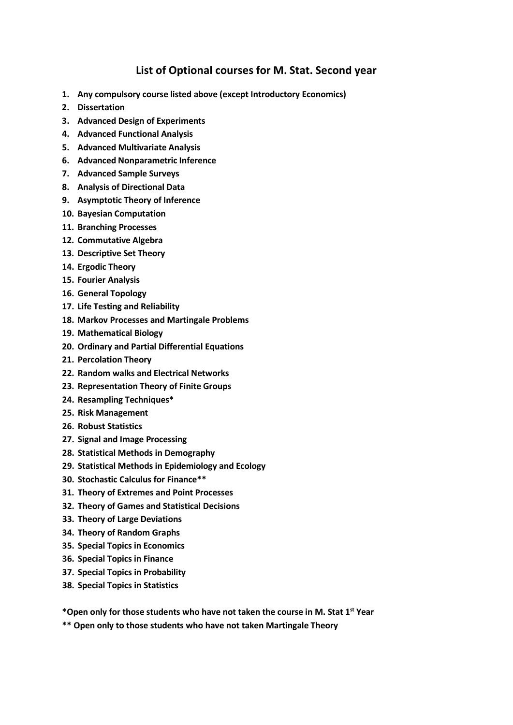### **List of Optional courses for M. Stat. Second year**

- **1. Any compulsory course listed above (except Introductory Economics)**
- **2. Dissertation**
- **3. Advanced Design of Experiments**
- **4. Advanced Functional Analysis**
- **5. Advanced Multivariate Analysis**
- **6. Advanced Nonparametric Inference**
- **7. Advanced Sample Surveys**
- **8. Analysis of Directional Data**
- **9. Asymptotic Theory of Inference**
- **10. Bayesian Computation**
- **11. Branching Processes**
- **12. Commutative Algebra**
- **13. Descriptive Set Theory**
- **14. Ergodic Theory**
- **15. Fourier Analysis**
- **16. General Topology**
- **17. Life Testing and Reliability**
- **18. Markov Processes and Martingale Problems**
- **19. Mathematical Biology**
- **20. Ordinary and Partial Differential Equations**
- **21. Percolation Theory**
- **22. Random walks and Electrical Networks**
- **23. Representation Theory of Finite Groups**
- **24. Resampling Techniques\***
- **25. Risk Management**
- **26. Robust Statistics**
- **27. Signal and Image Processing**
- **28. Statistical Methods in Demography**
- **29. Statistical Methods in Epidemiology and Ecology**
- **30. Stochastic Calculus for Finance\*\***
- **31. Theory of Extremes and Point Processes**
- **32. Theory of Games and Statistical Decisions**
- **33. Theory of Large Deviations**
- **34. Theory of Random Graphs**
- **35. Special Topics in Economics**
- **36. Special Topics in Finance**
- **37. Special Topics in Probability**
- **38. Special Topics in Statistics**

**\*Open only for those students who have not taken the course in M. Stat 1st Year**

**\*\* Open only to those students who have not taken Martingale Theory**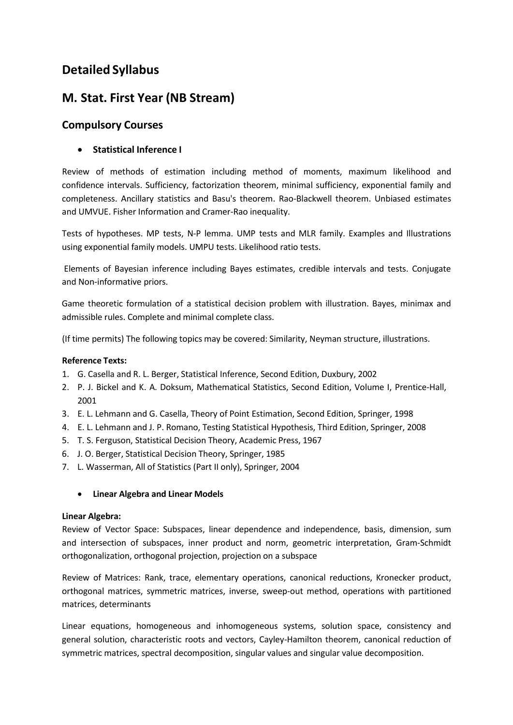## **Detailed Syllabus**

## **M. Stat. First Year (NB Stream)**

### **Compulsory Courses**

### • **Statistical Inference I**

Review of methods of estimation including method of moments, maximum likelihood and confidence intervals. Sufficiency, factorization theorem, minimal sufficiency, exponential family and completeness. Ancillary statistics and Basu's theorem. Rao-Blackwell theorem. Unbiased estimates and UMVUE. Fisher Information and Cramer-Rao inequality.

Tests of hypotheses. MP tests, N-P lemma. UMP tests and MLR family. Examples and Illustrations using exponential family models. UMPU tests. Likelihood ratio tests.

Elements of Bayesian inference including Bayes estimates, credible intervals and tests. Conjugate and Non-informative priors.

Game theoretic formulation of a statistical decision problem with illustration. Bayes, minimax and admissible rules. Complete and minimal complete class.

(If time permits) The following topics may be covered: Similarity, Neyman structure, illustrations.

### **Reference Texts:**

- 1. G. Casella and R. L. Berger, Statistical Inference, Second Edition, Duxbury, 2002
- 2. P. J. Bickel and K. A. Doksum, Mathematical Statistics, Second Edition, Volume I, Prentice-Hall, 2001
- 3. E. L. Lehmann and G. Casella, Theory of Point Estimation, Second Edition, Springer, 1998
- 4. E. L. Lehmann and J. P. Romano, Testing Statistical Hypothesis, Third Edition, Springer, 2008
- 5. T. S. Ferguson, Statistical Decision Theory, Academic Press, 1967
- 6. J. O. Berger, Statistical Decision Theory, Springer, 1985
- 7. L. Wasserman, All of Statistics (Part II only), Springer, 2004

#### • **Linear Algebra and Linear Models**

#### **Linear Algebra:**

Review of Vector Space: Subspaces, linear dependence and independence, basis, dimension, sum and intersection of subspaces, inner product and norm, geometric interpretation, Gram-Schmidt orthogonalization, orthogonal projection, projection on a subspace

Review of Matrices: Rank, trace, elementary operations, canonical reductions, Kronecker product, orthogonal matrices, symmetric matrices, inverse, sweep-out method, operations with partitioned matrices, determinants

Linear equations, homogeneous and inhomogeneous systems, solution space, consistency and general solution, characteristic roots and vectors, Cayley-Hamilton theorem, canonical reduction of symmetric matrices, spectral decomposition, singular values and singular value decomposition.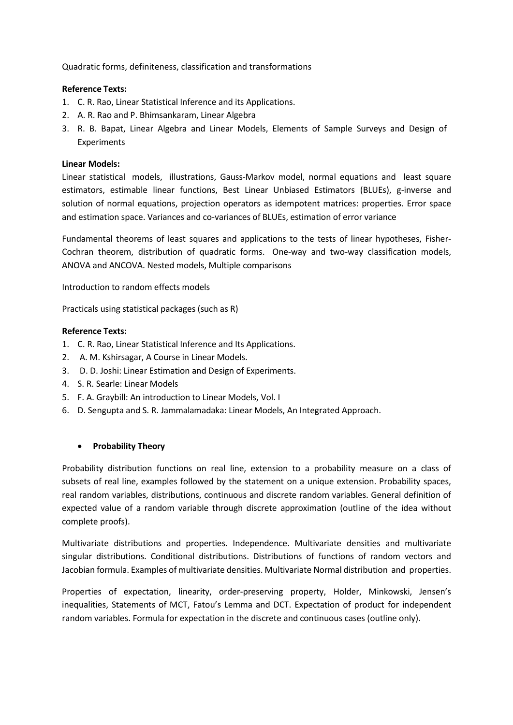Quadratic forms, definiteness, classification and transformations

#### **Reference Texts:**

- 1. C. R. Rao, Linear Statistical Inference and its Applications.
- 2. A. R. Rao and P. Bhimsankaram, Linear Algebra
- 3. R. B. Bapat, Linear Algebra and Linear Models, Elements of Sample Surveys and Design of Experiments

#### **Linear Models:**

Linear statistical models, illustrations, Gauss-Markov model, normal equations and least square estimators, estimable linear functions, Best Linear Unbiased Estimators (BLUEs), g-inverse and solution of normal equations, projection operators as idempotent matrices: properties. Error space and estimation space. Variances and co-variances of BLUEs, estimation of error variance

Fundamental theorems of least squares and applications to the tests of linear hypotheses, Fisher-Cochran theorem, distribution of quadratic forms. One-way and two-way classification models, ANOVA and ANCOVA. Nested models, Multiple comparisons

Introduction to random effects models

Practicals using statistical packages (such as R)

#### **Reference Texts:**

- 1. C. R. Rao, Linear Statistical Inference and Its Applications.
- 2. A. M. Kshirsagar, A Course in Linear Models.
- 3. D. D. Joshi: Linear Estimation and Design of Experiments.
- 4. S. R. Searle: Linear Models
- 5. F. A. Graybill: An introduction to Linear Models, Vol. I
- 6. D. Sengupta and S. R. Jammalamadaka: Linear Models, An Integrated Approach.

#### • **Probability Theory**

Probability distribution functions on real line, extension to a probability measure on a class of subsets of real line, examples followed by the statement on a unique extension. Probability spaces, real random variables, distributions, continuous and discrete random variables. General definition of expected value of a random variable through discrete approximation (outline of the idea without complete proofs).

Multivariate distributions and properties. Independence. Multivariate densities and multivariate singular distributions. Conditional distributions. Distributions of functions of random vectors and Jacobian formula. Examples of multivariate densities. Multivariate Normal distribution and properties.

Properties of expectation, linearity, order-preserving property, Holder, Minkowski, Jensen's inequalities, Statements of MCT, Fatou's Lemma and DCT. Expectation of product for independent random variables. Formula for expectation in the discrete and continuous cases (outline only).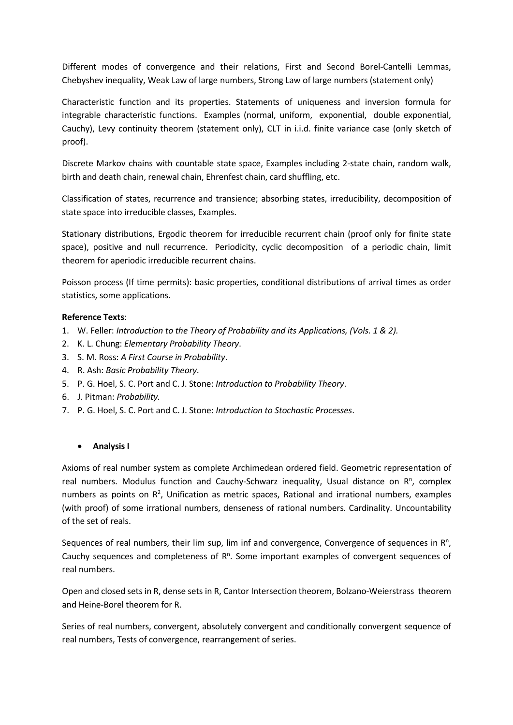Different modes of convergence and their relations, First and Second Borel-Cantelli Lemmas, Chebyshev inequality, Weak Law of large numbers, Strong Law of large numbers (statement only)

Characteristic function and its properties. Statements of uniqueness and inversion formula for integrable characteristic functions. Examples (normal, uniform, exponential, double exponential, Cauchy), Levy continuity theorem (statement only), CLT in i.i.d. finite variance case (only sketch of proof).

Discrete Markov chains with countable state space, Examples including 2-state chain, random walk, birth and death chain, renewal chain, Ehrenfest chain, card shuffling, etc.

Classification of states, recurrence and transience; absorbing states, irreducibility, decomposition of state space into irreducible classes, Examples.

Stationary distributions, Ergodic theorem for irreducible recurrent chain (proof only for finite state space), positive and null recurrence. Periodicity, cyclic decomposition of a periodic chain, limit theorem for aperiodic irreducible recurrent chains.

Poisson process (If time permits): basic properties, conditional distributions of arrival times as order statistics, some applications.

#### **Reference Texts**:

- 1. W. Feller: *Introduction to the Theory of Probability and its Applications, (Vols. 1 & 2).*
- 2. K. L. Chung: *Elementary Probability Theory*.
- 3. S. M. Ross: *A First Course in Probability*.
- 4. R. Ash: *Basic Probability Theory*.
- 5. P. G. Hoel, S. C. Port and C. J. Stone: *Introduction to Probability Theory*.
- 6. J. Pitman: *Probability.*
- 7. P. G. Hoel, S. C. Port and C. J. Stone: *Introduction to Stochastic Processes*.

#### • **Analysis I**

Axioms of real number system as complete Archimedean ordered field. Geometric representation of real numbers. Modulus function and Cauchy-Schwarz inequality, Usual distance on R<sup>n</sup>, complex numbers as points on R<sup>2</sup>, Unification as metric spaces, Rational and irrational numbers, examples (with proof) of some irrational numbers, denseness of rational numbers. Cardinality. Uncountability of the set of reals.

Sequences of real numbers, their lim sup, lim inf and convergence, Convergence of sequences in  $R<sup>n</sup>$ , Cauchy sequences and completeness of  $R<sup>n</sup>$ . Some important examples of convergent sequences of real numbers.

Open and closed sets in R, dense sets in R, Cantor Intersection theorem, Bolzano-Weierstrass theorem and Heine-Borel theorem for R.

Series of real numbers, convergent, absolutely convergent and conditionally convergent sequence of real numbers, Tests of convergence, rearrangement of series.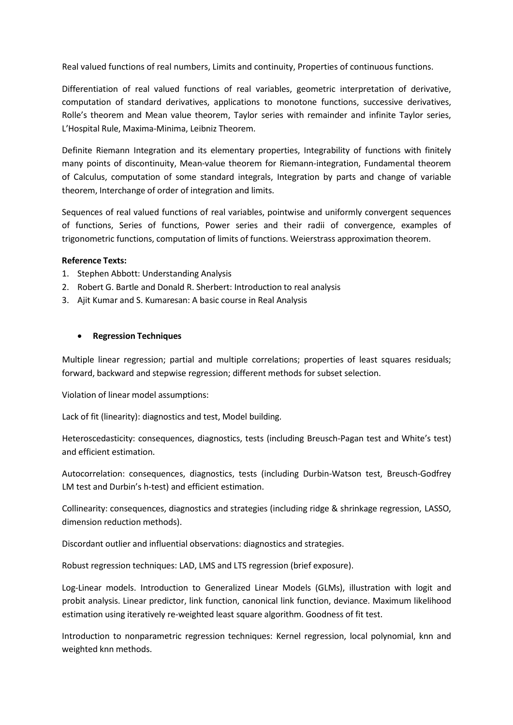Real valued functions of real numbers, Limits and continuity, Properties of continuous functions.

Differentiation of real valued functions of real variables, geometric interpretation of derivative, computation of standard derivatives, applications to monotone functions, successive derivatives, Rolle's theorem and Mean value theorem, Taylor series with remainder and infinite Taylor series, L'Hospital Rule, Maxima-Minima, Leibniz Theorem.

Definite Riemann Integration and its elementary properties, Integrability of functions with finitely many points of discontinuity, Mean-value theorem for Riemann-integration, Fundamental theorem of Calculus, computation of some standard integrals, Integration by parts and change of variable theorem, Interchange of order of integration and limits.

Sequences of real valued functions of real variables, pointwise and uniformly convergent sequences of functions, Series of functions, Power series and their radii of convergence, examples of trigonometric functions, computation of limits of functions. Weierstrass approximation theorem.

#### **Reference Texts:**

- 1. Stephen Abbott: Understanding Analysis
- 2. Robert G. Bartle and Donald R. Sherbert: Introduction to real analysis
- 3. Ajit Kumar and S. Kumaresan: A basic course in Real Analysis

#### • **Regression Techniques**

Multiple linear regression; partial and multiple correlations; properties of least squares residuals; forward, backward and stepwise regression; different methods for subset selection.

Violation of linear model assumptions:

Lack of fit (linearity): diagnostics and test, Model building.

Heteroscedasticity: consequences, diagnostics, tests (including Breusch-Pagan test and White's test) and efficient estimation.

Autocorrelation: consequences, diagnostics, tests (including Durbin-Watson test, Breusch-Godfrey LM test and Durbin's h-test) and efficient estimation.

Collinearity: consequences, diagnostics and strategies (including ridge & shrinkage regression, LASSO, dimension reduction methods).

Discordant outlier and influential observations: diagnostics and strategies.

Robust regression techniques: LAD, LMS and LTS regression (brief exposure).

Log-Linear models. Introduction to Generalized Linear Models (GLMs), illustration with logit and probit analysis. Linear predictor, link function, canonical link function, deviance. Maximum likelihood estimation using iteratively re-weighted least square algorithm. Goodness of fit test.

Introduction to nonparametric regression techniques: Kernel regression, local polynomial, knn and weighted knn methods.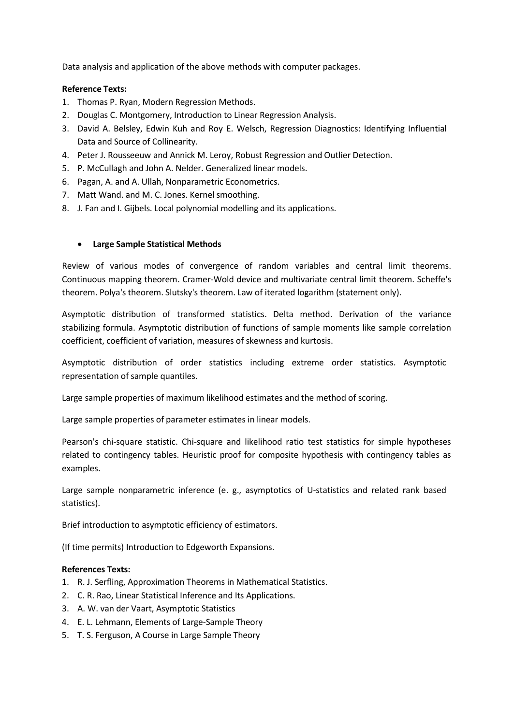Data analysis and application of the above methods with computer packages.

#### **Reference Texts:**

- 1. Thomas P. Ryan, Modern Regression Methods.
- 2. Douglas C. Montgomery, Introduction to Linear Regression Analysis.
- 3. David A. Belsley, Edwin Kuh and Roy E. Welsch, Regression Diagnostics: Identifying Influential Data and Source of Collinearity.
- 4. Peter J. Rousseeuw and Annick M. Leroy, Robust Regression and Outlier Detection.
- 5. [P. McCullagh](http://www.amazon.com/s/ref%3Ddp_byline_sr_book_1?ie=UTF8&field-author=P.%2BMcCullagh&search-alias=books&text=P.%2BMcCullagh&sort=relevancerank) and [John A.](http://www.amazon.com/s/ref%3Ddp_byline_sr_book_2?ie=UTF8&field-author=John%2BA.%2BNelder&search-alias=books&text=John%2BA.%2BNelder&sort=relevancerank) Nelder. Generalized linear models.
- 6. Pagan, A. and A. Ullah, Nonparametric Econometrics.
- 7. Matt Wand. and M. C. Jones. Kernel smoothing.
- 8. J. Fan and I. Gijbels. Local polynomial modelling and its applications.

#### • **Large Sample Statistical Methods**

Review of various modes of convergence of random variables and central limit theorems. Continuous mapping theorem. Cramer-Wold device and multivariate central limit theorem. Scheffe's theorem. Polya's theorem. Slutsky's theorem. Law of iterated logarithm (statement only).

Asymptotic distribution of transformed statistics. Delta method. Derivation of the variance stabilizing formula. Asymptotic distribution of functions of sample moments like sample correlation coefficient, coefficient of variation, measures of skewness and kurtosis.

Asymptotic distribution of order statistics including extreme order statistics. Asymptotic representation of sample quantiles.

Large sample properties of maximum likelihood estimates and the method of scoring.

Large sample properties of parameter estimates in linear models.

Pearson's chi-square statistic. Chi-square and likelihood ratio test statistics for simple hypotheses related to contingency tables. Heuristic proof for composite hypothesis with contingency tables as examples.

Large sample nonparametric inference (e. g., asymptotics of U-statistics and related rank based statistics).

Brief introduction to asymptotic efficiency of estimators.

(If time permits) Introduction to Edgeworth Expansions.

- 1. R. J. Serfling, Approximation Theorems in Mathematical Statistics.
- 2. C. R. Rao, Linear Statistical Inference and Its Applications.
- 3. A. W. van der Vaart, Asymptotic Statistics
- 4. E. L. Lehmann, Elements of Large-Sample Theory
- 5. T. S. Ferguson, A Course in Large Sample Theory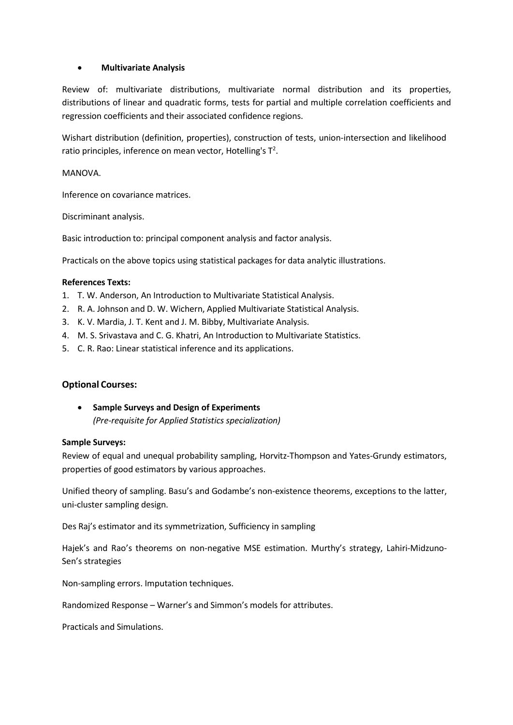#### • **Multivariate Analysis**

Review of: multivariate distributions, multivariate normal distribution and its properties, distributions of linear and quadratic forms, tests for partial and multiple correlation coefficients and regression coefficients and their associated confidence regions.

Wishart distribution (definition, properties), construction of tests, union-intersection and likelihood ratio principles, inference on mean vector, Hotelling's  $T^2$ .

#### MANOVA.

Inference on covariance matrices.

Discriminant analysis.

Basic introduction to: principal component analysis and factor analysis.

Practicals on the above topics using statistical packages for data analytic illustrations.

#### **References Texts:**

- 1. T. W. Anderson, An Introduction to Multivariate Statistical Analysis.
- 2. R. A. Johnson and D. W. Wichern, Applied Multivariate Statistical Analysis.
- 3. K. V. Mardia, J. T. Kent and J. M. Bibby, Multivariate Analysis.
- 4. M. S. Srivastava and C. G. Khatri, An Introduction to Multivariate Statistics.
- 5. C. R. Rao: Linear statistical inference and its applications.

#### **Optional Courses:**

• **Sample Surveys and Design of Experiments** *(Pre-requisite for Applied Statistics specialization)*

#### **Sample Surveys:**

Review of equal and unequal probability sampling, Horvitz-Thompson and Yates-Grundy estimators, properties of good estimators by various approaches.

Unified theory of sampling. Basu's and Godambe's non-existence theorems, exceptions to the latter, uni-cluster sampling design.

Des Raj's estimator and its symmetrization, Sufficiency in sampling

Hajek's and Rao's theorems on non-negative MSE estimation. Murthy's strategy, Lahiri-Midzuno-Sen's strategies

Non-sampling errors. Imputation techniques.

Randomized Response – Warner's and Simmon's models for attributes.

Practicals and Simulations.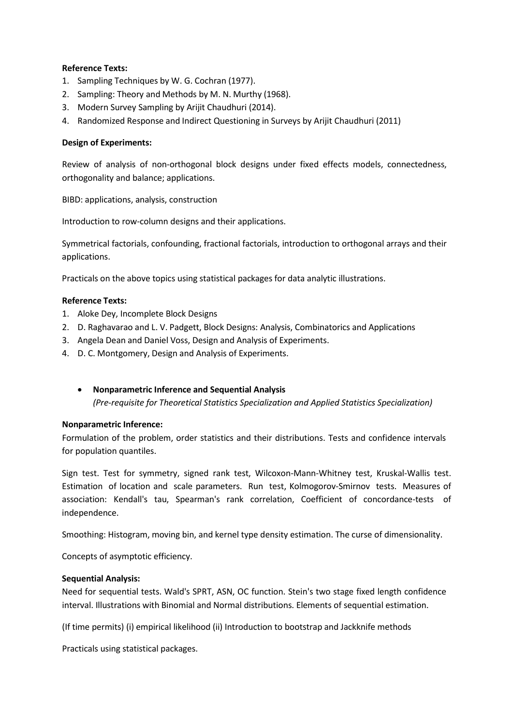- 1. Sampling Techniques by W. G. Cochran (1977).
- 2. Sampling: Theory and Methods by M. N. Murthy (1968).
- 3. Modern Survey Sampling by Arijit Chaudhuri (2014).
- 4. Randomized Response and Indirect Questioning in Surveys by Arijit Chaudhuri (2011)

#### **Design of Experiments:**

Review of analysis of non-orthogonal block designs under fixed effects models, connectedness, orthogonality and balance; applications.

BIBD: applications, analysis, construction

Introduction to row-column designs and their applications.

Symmetrical factorials, confounding, fractional factorials, introduction to orthogonal arrays and their applications.

Practicals on the above topics using statistical packages for data analytic illustrations.

#### **Reference Texts:**

- 1. Aloke Dey, Incomplete Block Designs
- 2. D. Raghavarao and L. V. Padgett, Block Designs: Analysis, Combinatorics and Applications
- 3. Angela Dean and Daniel Voss, Design and Analysis of Experiments.
- 4. D. C. Montgomery, Design and Analysis of Experiments.

#### • **Nonparametric Inference and Sequential Analysis**

*(Pre-requisite for Theoretical Statistics Specialization and Applied Statistics Specialization)*

#### **Nonparametric Inference:**

Formulation of the problem, order statistics and their distributions. Tests and confidence intervals for population quantiles.

Sign test. Test for symmetry, signed rank test, Wilcoxon-Mann-Whitney test, Kruskal-Wallis test. Estimation of location and scale parameters. Run test, Kolmogorov-Smirnov tests. Measures of association: Kendall's tau, Spearman's rank correlation, Coefficient of concordance-tests of independence.

Smoothing: Histogram, moving bin, and kernel type density estimation. The curse of dimensionality.

Concepts of asymptotic efficiency.

#### **Sequential Analysis:**

Need for sequential tests. Wald's SPRT, ASN, OC function. Stein's two stage fixed length confidence interval. Illustrations with Binomial and Normal distributions. Elements of sequential estimation.

(If time permits) (i) empirical likelihood (ii) Introduction to bootstrap and Jackknife methods

Practicals using statistical packages.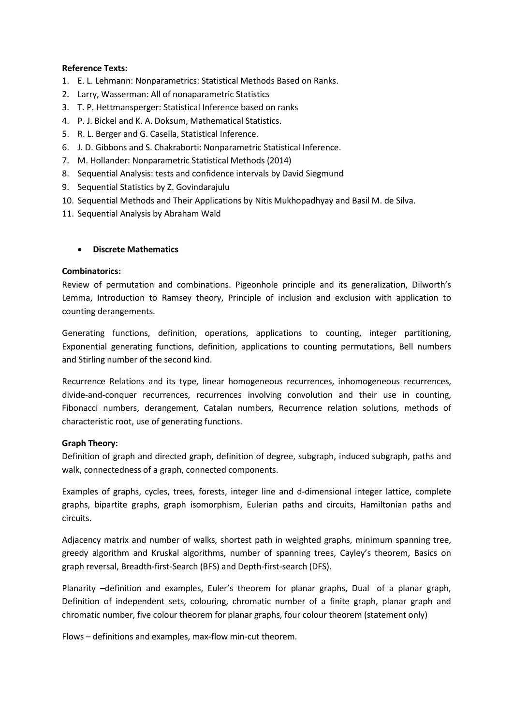- 1. E. L. Lehmann: Nonparametrics: Statistical Methods Based on Ranks.
- 2. Larry, Wasserman: All of nonaparametric Statistics
- 3. T. P. Hettmansperger: Statistical Inference based on ranks
- 4. P. J. Bickel and K. A. Doksum, Mathematical Statistics.
- 5. R. L. Berger and G. Casella, Statistical Inference.
- 6. J. D. Gibbons and S. Chakraborti: Nonparametric Statistical Inference.
- 7. M. Hollander: Nonparametric Statistical Methods (2014)
- 8. Sequential Analysis: tests and confidence intervals by David Siegmund
- 9. Sequential Statistics by Z. Govindarajulu
- 10. Sequential Methods and Their Applications by Nitis Mukhopadhyay and Basil M. de Silva.
- 11. Sequential Analysis by Abraham Wald

#### • **Discrete Mathematics**

#### **Combinatorics:**

Review of permutation and combinations. Pigeonhole principle and its generalization, Dilworth's Lemma, Introduction to Ramsey theory, Principle of inclusion and exclusion with application to counting derangements.

Generating functions, definition, operations, applications to counting, integer partitioning, Exponential generating functions, definition, applications to counting permutations, Bell numbers and Stirling number of the second kind.

Recurrence Relations and its type, linear homogeneous recurrences, inhomogeneous recurrences, divide-and-conquer recurrences, recurrences involving convolution and their use in counting, Fibonacci numbers, derangement, Catalan numbers, Recurrence relation solutions, methods of characteristic root, use of generating functions.

#### **Graph Theory:**

Definition of graph and directed graph, definition of degree, subgraph, induced subgraph, paths and walk, connectedness of a graph, connected components.

Examples of graphs, cycles, trees, forests, integer line and d-dimensional integer lattice, complete graphs, bipartite graphs, graph isomorphism, Eulerian paths and circuits, Hamiltonian paths and circuits.

Adjacency matrix and number of walks, shortest path in weighted graphs, minimum spanning tree, greedy algorithm and Kruskal algorithms, number of spanning trees, Cayley's theorem, Basics on graph reversal, Breadth-first-Search (BFS) and Depth-first-search (DFS).

Planarity –definition and examples, Euler's theorem for planar graphs, Dual of a planar graph, Definition of independent sets, colouring, chromatic number of a finite graph, planar graph and chromatic number, five colour theorem for planar graphs, four colour theorem (statement only)

Flows – definitions and examples, max-flow min-cut theorem.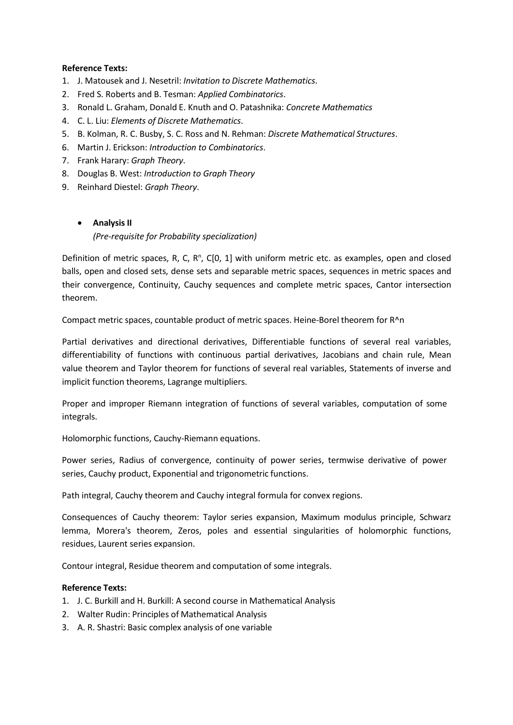- 1. J. Matousek and J. Nesetril: *Invitation to Discrete Mathematics*.
- 2. Fred S. Roberts and B. Tesman: *Applied Combinatorics*.
- 3. Ronald L. Graham, Donald E. Knuth and O. Patashnika: *Concrete Mathematics*
- 4. C. L. Liu: *Elements of Discrete Mathematics*.
- 5. B. Kolman, R. C. Busby, S. C. Ross and N. Rehman: *Discrete Mathematical Structures*.
- 6. Martin J. Erickson: *Introduction to Combinatorics*.
- 7. Frank Harary: *Graph Theory*.
- 8. Douglas B. West: *Introduction to Graph Theory*
- 9. Reinhard Diestel: *Graph Theory*.

#### • **Analysis II**

#### *(Pre-requisite for Probability specialization)*

Definition of metric spaces, R, C, R<sup>n</sup>, C[0, 1] with uniform metric etc. as examples, open and closed balls, open and closed sets, dense sets and separable metric spaces, sequences in metric spaces and their convergence, Continuity, Cauchy sequences and complete metric spaces, Cantor intersection theorem.

Compact metric spaces, countable product of metric spaces. Heine-Borel theorem for R^n

Partial derivatives and directional derivatives, Differentiable functions of several real variables, differentiability of functions with continuous partial derivatives, Jacobians and chain rule, Mean value theorem and Taylor theorem for functions of several real variables, Statements of inverse and implicit function theorems, Lagrange multipliers.

Proper and improper Riemann integration of functions of several variables, computation of some integrals.

Holomorphic functions, Cauchy-Riemann equations.

Power series, Radius of convergence, continuity of power series, termwise derivative of power series, Cauchy product, Exponential and trigonometric functions.

Path integral, Cauchy theorem and Cauchy integral formula for convex regions.

Consequences of Cauchy theorem: Taylor series expansion, Maximum modulus principle, Schwarz lemma, Morera's theorem, Zeros, poles and essential singularities of holomorphic functions, residues, Laurent series expansion.

Contour integral, Residue theorem and computation of some integrals.

- 1. J. C. Burkill and H. Burkill: A second course in Mathematical Analysis
- 2. Walter Rudin: Principles of Mathematical Analysis
- 3. A. R. Shastri: Basic complex analysis of one variable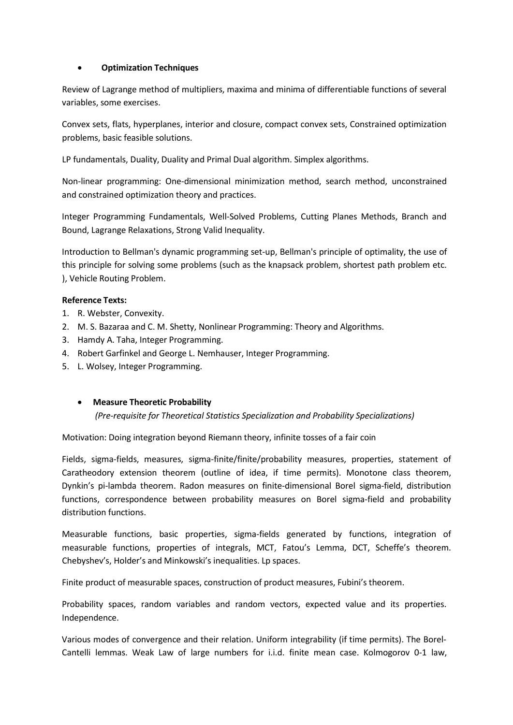#### • **Optimization Techniques**

Review of Lagrange method of multipliers, maxima and minima of differentiable functions of several variables, some exercises.

Convex sets, flats, hyperplanes, interior and closure, compact convex sets, Constrained optimization problems, basic feasible solutions.

LP fundamentals, Duality, Duality and Primal Dual algorithm. Simplex algorithms.

Non-linear programming: One-dimensional minimization method, search method, unconstrained and constrained optimization theory and practices.

Integer Programming Fundamentals, Well-Solved Problems, Cutting Planes Methods, Branch and Bound, Lagrange Relaxations, Strong Valid Inequality.

Introduction to Bellman's dynamic programming set-up, Bellman's principle of optimality, the use of this principle for solving some problems (such as the knapsack problem, shortest path problem etc. ), Vehicle Routing Problem.

#### **Reference Texts:**

- 1. R. Webster, Convexity.
- 2. M. S. Bazaraa and C. M. Shetty, Nonlinear Programming: Theory and Algorithms.
- 3. Hamdy A. Taha, Integer Programming.
- 4. Robert Garfinkel and George L. Nemhauser, Integer Programming.
- 5. L. Wolsey, Integer Programming.

#### • **Measure Theoretic Probability**

*(Pre-requisite for Theoretical Statistics Specialization and Probability Specializations)*

Motivation: Doing integration beyond Riemann theory, infinite tosses of a fair coin

Fields, sigma-fields, measures, sigma-finite/finite/probability measures, properties, statement of Caratheodory extension theorem (outline of idea, if time permits). Monotone class theorem, Dynkin's pi-lambda theorem. Radon measures on finite-dimensional Borel sigma-field, distribution functions, correspondence between probability measures on Borel sigma-field and probability distribution functions.

Measurable functions, basic properties, sigma-fields generated by functions, integration of measurable functions, properties of integrals, MCT, Fatou's Lemma, DCT, Scheffe's theorem. Chebyshev's, Holder's and Minkowski's inequalities. Lp spaces.

Finite product of measurable spaces, construction of product measures, Fubini's theorem.

Probability spaces, random variables and random vectors, expected value and its properties. Independence.

Various modes of convergence and their relation. Uniform integrability (if time permits). The Borel-Cantelli lemmas. Weak Law of large numbers for i.i.d. finite mean case. Kolmogorov 0-1 law,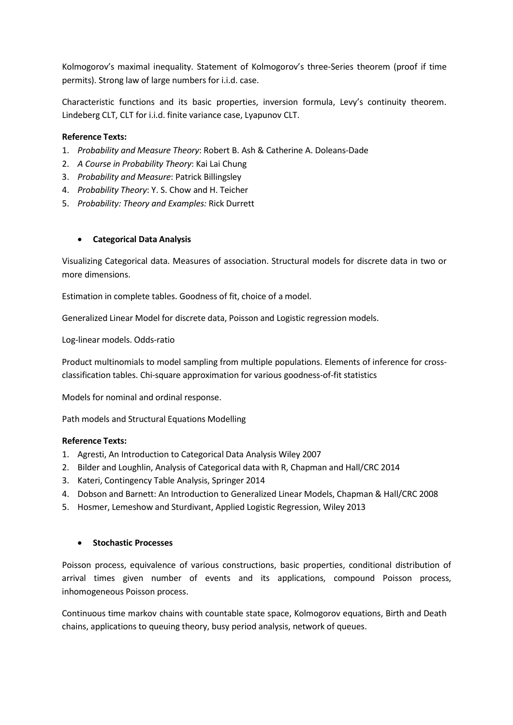Kolmogorov's maximal inequality. Statement of Kolmogorov's three-Series theorem (proof if time permits). Strong law of large numbers for i.i.d. case.

Characteristic functions and its basic properties, inversion formula, Levy's continuity theorem. Lindeberg CLT, CLT for i.i.d. finite variance case, Lyapunov CLT.

#### **Reference Texts:**

- 1. *Probability and Measure Theory*: Robert B. Ash & Catherine A. Doleans-Dade
- 2. *A Course in Probability Theory*: Kai Lai Chung
- 3. *Probability and Measure*: Patrick Billingsley
- 4. *Probability Theory*: Y. S. Chow and H. Teicher
- 5. *Probability: Theory and Examples:* Rick Durrett

#### • **Categorical Data Analysis**

Visualizing Categorical data. Measures of association. Structural models for discrete data in two or more dimensions.

Estimation in complete tables. Goodness of fit, choice of a model.

Generalized Linear Model for discrete data, Poisson and Logistic regression models.

Log-linear models. Odds-ratio

Product multinomials to model sampling from multiple populations. Elements of inference for crossclassification tables. Chi-square approximation for various goodness-of-fit statistics

Models for nominal and ordinal response.

Path models and Structural Equations Modelling

#### **Reference Texts:**

- 1. Agresti, An Introduction to Categorical Data Analysis Wiley 2007
- 2. Bilder and Loughlin, Analysis of Categorical data with R, Chapman and Hall/CRC 2014
- 3. Kateri, Contingency Table Analysis, Springer 2014
- 4. Dobson and Barnett: An Introduction to Generalized Linear Models, Chapman & Hall/CRC 2008
- 5. Hosmer, Lemeshow and Sturdivant, Applied Logistic Regression, Wiley 2013

#### • **Stochastic Processes**

Poisson process, equivalence of various constructions, basic properties, conditional distribution of arrival times given number of events and its applications, compound Poisson process, inhomogeneous Poisson process.

Continuous time markov chains with countable state space, Kolmogorov equations, Birth and Death chains, applications to queuing theory, busy period analysis, network of queues.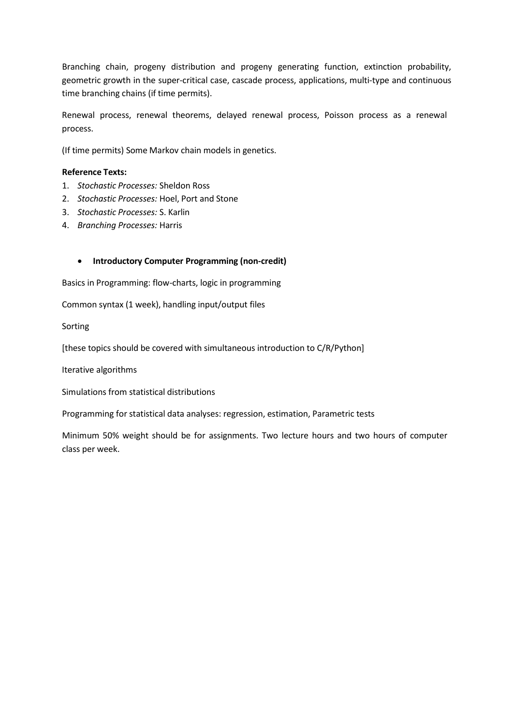Branching chain, progeny distribution and progeny generating function, extinction probability, geometric growth in the super-critical case, cascade process, applications, multi-type and continuous time branching chains (if time permits).

Renewal process, renewal theorems, delayed renewal process, Poisson process as a renewal process.

(If time permits) Some Markov chain models in genetics.

#### **Reference Texts:**

- 1. *Stochastic Processes:* Sheldon Ross
- 2. *Stochastic Processes:* Hoel, Port and Stone
- 3. *Stochastic Processes:* S. Karlin
- 4. *Branching Processes:* Harris

#### • **Introductory Computer Programming (non-credit)**

Basics in Programming: flow-charts, logic in programming

Common syntax (1 week), handling input/output files

Sorting

[these topics should be covered with simultaneous introduction to C/R/Python]

Iterative algorithms

Simulations from statistical distributions

Programming for statistical data analyses: regression, estimation, Parametric tests

Minimum 50% weight should be for assignments. Two lecture hours and two hours of computer class per week.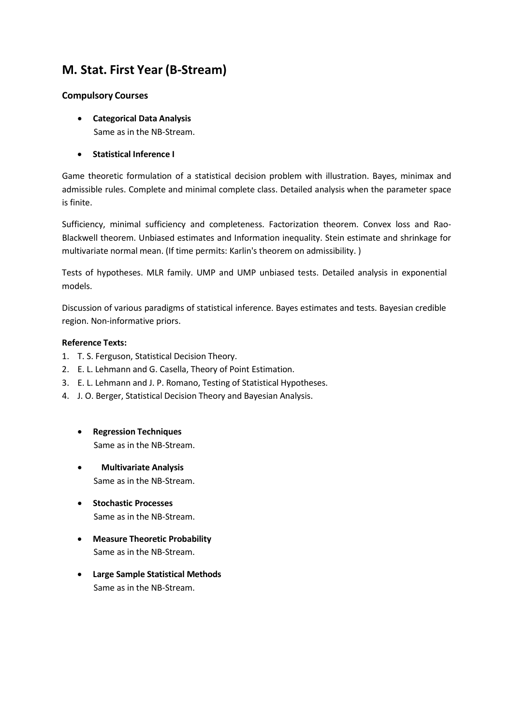# **M. Stat. First Year (B-Stream)**

### **Compulsory Courses**

- **Categorical Data Analysis** Same as in the NB-Stream.
- **Statistical Inference I**

Game theoretic formulation of a statistical decision problem with illustration. Bayes, minimax and admissible rules. Complete and minimal complete class. Detailed analysis when the parameter space is finite.

Sufficiency, minimal sufficiency and completeness. Factorization theorem. Convex loss and Rao-Blackwell theorem. Unbiased estimates and Information inequality. Stein estimate and shrinkage for multivariate normal mean. (If time permits: Karlin's theorem on admissibility. )

Tests of hypotheses. MLR family. UMP and UMP unbiased tests. Detailed analysis in exponential models.

Discussion of various paradigms of statistical inference. Bayes estimates and tests. Bayesian credible region. Non-informative priors.

- 1. T. S. Ferguson, Statistical Decision Theory.
- 2. E. L. Lehmann and G. Casella, Theory of Point Estimation.
- 3. E. L. Lehmann and J. P. Romano, Testing of Statistical Hypotheses.
- 4. J. O. Berger, Statistical Decision Theory and Bayesian Analysis.
	- **Regression Techniques** Same as in the NB-Stream.
	- **Multivariate Analysis** Same as in the NB-Stream.
	- **Stochastic Processes** Same as in the NB-Stream.
	- **Measure Theoretic Probability** Same as in the NB-Stream.
	- **Large Sample Statistical Methods** Same as in the NB-Stream.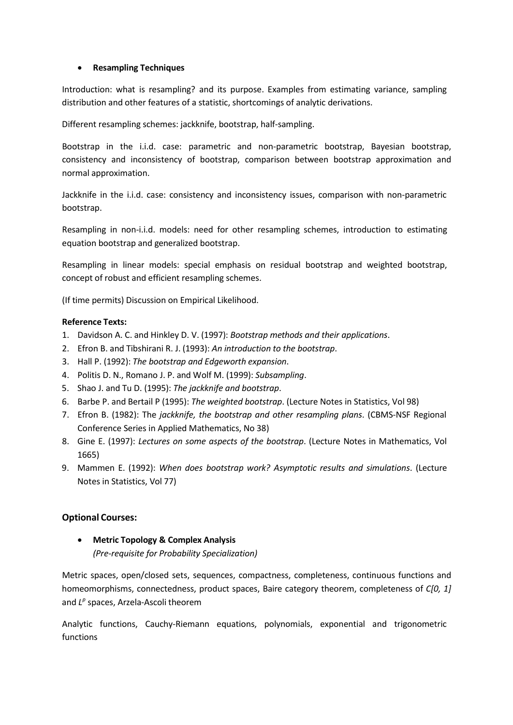#### • **Resampling Techniques**

Introduction: what is resampling? and its purpose. Examples from estimating variance, sampling distribution and other features of a statistic, shortcomings of analytic derivations.

Different resampling schemes: jackknife, bootstrap, half-sampling.

Bootstrap in the i.i.d. case: parametric and non-parametric bootstrap, Bayesian bootstrap, consistency and inconsistency of bootstrap, comparison between bootstrap approximation and normal approximation.

Jackknife in the i.i.d. case: consistency and inconsistency issues, comparison with non-parametric bootstrap.

Resampling in non-i.i.d. models: need for other resampling schemes, introduction to estimating equation bootstrap and generalized bootstrap.

Resampling in linear models: special emphasis on residual bootstrap and weighted bootstrap, concept of robust and efficient resampling schemes.

(If time permits) Discussion on Empirical Likelihood.

#### **Reference Texts:**

- 1. Davidson A. C. and Hinkley D. V. (1997): *Bootstrap methods and their applications*.
- 2. Efron B. and Tibshirani R. J. (1993): *An introduction to the bootstrap*.
- 3. Hall P. (1992): *The bootstrap and Edgeworth expansion*.
- 4. Politis D. N., Romano J. P. and Wolf M. (1999): *Subsampling*.
- 5. Shao J. and Tu D. (1995): *The jackknife and bootstrap*.
- 6. Barbe P. and Bertail P (1995): *The weighted bootstrap*. (Lecture Notes in Statistics, Vol 98)
- 7. Efron B. (1982): The *jackknife, the bootstrap and other resampling plans*. (CBMS-NSF Regional Conference Series in Applied Mathematics, No 38)
- 8. Gine E. (1997): *Lectures on some aspects of the bootstrap*. (Lecture Notes in Mathematics, Vol 1665)
- 9. Mammen E. (1992): *When does bootstrap work? Asymptotic results and simulations*. (Lecture Notes in Statistics, Vol 77)

#### **Optional Courses:**

• **Metric Topology & Complex Analysis** *(Pre-requisite for Probability Specialization)*

Metric spaces, open/closed sets, sequences, compactness, completeness, continuous functions and homeomorphisms, connectedness, product spaces, Baire category theorem, completeness of *C[0, 1]* and *Lp* spaces, Arzela-Ascoli theorem

Analytic functions, Cauchy-Riemann equations, polynomials, exponential and trigonometric functions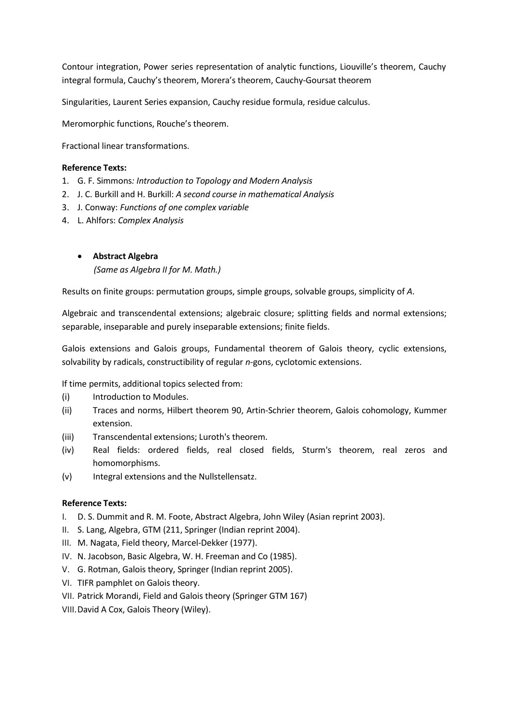Contour integration, Power series representation of analytic functions, Liouville's theorem, Cauchy integral formula, Cauchy's theorem, Morera's theorem, Cauchy-Goursat theorem

Singularities, Laurent Series expansion, Cauchy residue formula, residue calculus.

Meromorphic functions, Rouche's theorem.

Fractional linear transformations.

#### **Reference Texts:**

- 1. G. F. Simmons*: Introduction to Topology and Modern Analysis*
- 2. J. C. Burkill and H. Burkill: *A second course in mathematical Analysis*
- 3. J. Conway: *Functions of one complex variable*
- 4. L. Ahlfors: *Complex Analysis*

#### • **Abstract Algebra**

*(Same as Algebra II for M. Math.)*

Results on finite groups: permutation groups, simple groups, solvable groups, simplicity of *A*.

Algebraic and transcendental extensions; algebraic closure; splitting fields and normal extensions; separable, inseparable and purely inseparable extensions; finite fields.

Galois extensions and Galois groups, Fundamental theorem of Galois theory, cyclic extensions, solvability by radicals, constructibility of regular *n*-gons, cyclotomic extensions.

If time permits, additional topics selected from:

- (i) Introduction to Modules.
- (ii) Traces and norms, Hilbert theorem 90, Artin-Schrier theorem, Galois cohomology, Kummer extension.
- (iii) Transcendental extensions; Luroth's theorem.
- (iv) Real fields: ordered fields, real closed fields, Sturm's theorem, real zeros and homomorphisms.
- (v) Integral extensions and the Nullstellensatz.

- I. D. S. Dummit and R. M. Foote, Abstract Algebra, John Wiley (Asian reprint 2003).
- II. S. Lang, Algebra, GTM (211, Springer (Indian reprint 2004).
- III. M. Nagata, Field theory, Marcel-Dekker (1977).
- IV. N. Jacobson, Basic Algebra, W. H. Freeman and Co (1985).
- V. G. Rotman, Galois theory, Springer (Indian reprint 2005).
- VI. TIFR pamphlet on Galois theory.
- VII. Patrick Morandi, Field and Galois theory (Springer GTM 167)
- VIII.David A Cox, Galois Theory (Wiley).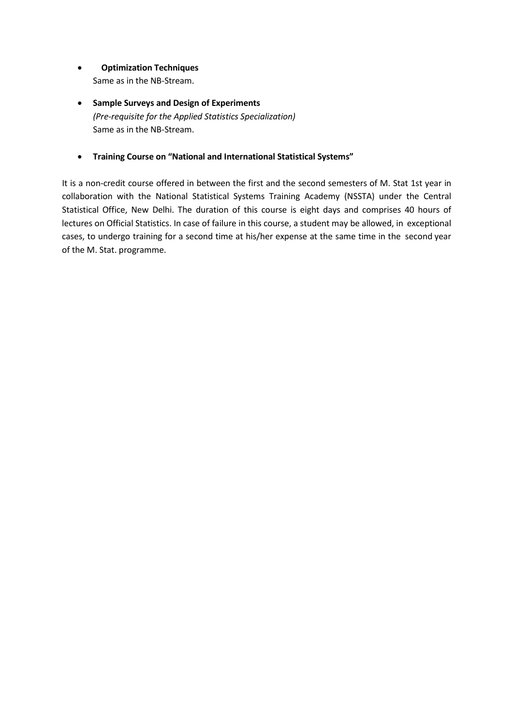- **Optimization Techniques** Same as in the NB-Stream.
- **Sample Surveys and Design of Experiments** *(Pre-requisite for the Applied Statistics Specialization)* Same as in the NB-Stream.
- **Training Course on "National and International Statistical Systems"**

It is a non-credit course offered in between the first and the second semesters of M. Stat 1st year in collaboration with the National Statistical Systems Training Academy (NSSTA) under the Central Statistical Office, New Delhi. The duration of this course is eight days and comprises 40 hours of lectures on Official Statistics. In case of failure in this course, a student may be allowed, in exceptional cases, to undergo training for a second time at his/her expense at the same time in the second year of the M. Stat. programme.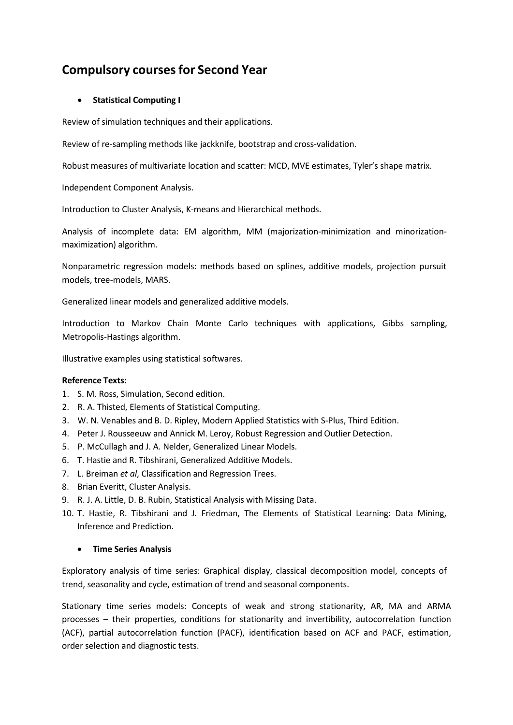# **Compulsory coursesfor Second Year**

### • **Statistical Computing I**

Review of simulation techniques and their applications.

Review of re-sampling methods like jackknife, bootstrap and cross-validation.

Robust measures of multivariate location and scatter: MCD, MVE estimates, Tyler's shape matrix.

Independent Component Analysis.

Introduction to Cluster Analysis, K-means and Hierarchical methods.

Analysis of incomplete data: EM algorithm, MM (majorization-minimization and minorizationmaximization) algorithm.

Nonparametric regression models: methods based on splines, additive models, projection pursuit models, tree-models, MARS.

Generalized linear models and generalized additive models.

Introduction to Markov Chain Monte Carlo techniques with applications, Gibbs sampling, Metropolis-Hastings algorithm.

Illustrative examples using statistical softwares.

#### **Reference Texts:**

- 1. S. M. Ross, Simulation, Second edition.
- 2. R. A. Thisted, Elements of Statistical Computing.
- 3. W. N. Venables and B. D. Ripley, Modern Applied Statistics with S-Plus, Third Edition.
- 4. Peter J. Rousseeuw and Annick M. Leroy, Robust Regression and Outlier Detection.
- 5. P. McCullagh and J. A. Nelder, Generalized Linear Models.
- 6. T. Hastie and R. Tibshirani, Generalized Additive Models.
- 7. L. Breiman *et al*, Classification and Regression Trees.
- 8. Brian Everitt, Cluster Analysis.
- 9. R. J. A. Little, D. B. Rubin, Statistical Analysis with Missing Data.
- 10. T. Hastie, R. Tibshirani and J. Friedman, The Elements of Statistical Learning: Data Mining, Inference and Prediction.

#### • **Time Series Analysis**

Exploratory analysis of time series: Graphical display, classical decomposition model, concepts of trend, seasonality and cycle, estimation of trend and seasonal components.

Stationary time series models: Concepts of weak and strong stationarity, AR, MA and ARMA processes – their properties, conditions for stationarity and invertibility, autocorrelation function (ACF), partial autocorrelation function (PACF), identification based on ACF and PACF, estimation, order selection and diagnostic tests.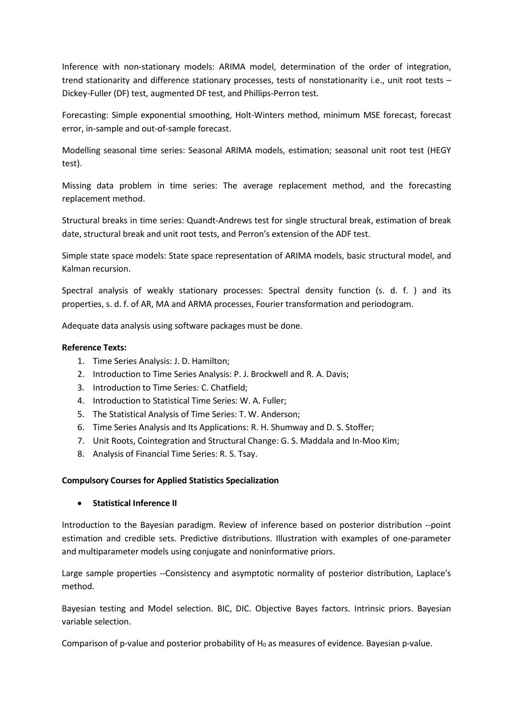Inference with non-stationary models: ARIMA model, determination of the order of integration, trend stationarity and difference stationary processes, tests of nonstationarity i.e., unit root tests – Dickey-Fuller (DF) test, augmented DF test, and Phillips-Perron test.

Forecasting: Simple exponential smoothing, Holt-Winters method, minimum MSE forecast, forecast error, in-sample and out-of-sample forecast.

Modelling seasonal time series: Seasonal ARIMA models, estimation; seasonal unit root test (HEGY test).

Missing data problem in time series: The average replacement method, and the forecasting replacement method.

Structural breaks in time series: Quandt-Andrews test for single structural break, estimation of break date, structural break and unit root tests, and Perron's extension of the ADF test.

Simple state space models: State space representation of ARIMA models, basic structural model, and Kalman recursion.

Spectral analysis of weakly stationary processes: Spectral density function (s. d. f. ) and its properties, s. d. f. of AR, MA and ARMA processes, Fourier transformation and periodogram.

Adequate data analysis using software packages must be done.

#### **Reference Texts:**

- 1. Time Series Analysis: J. D. Hamilton;
- 2. Introduction to Time Series Analysis: P. J. Brockwell and R. A. Davis;
- 3. Introduction to Time Series: C. Chatfield;
- 4. Introduction to Statistical Time Series: W. A. Fuller;
- 5. The Statistical Analysis of Time Series: T. W. Anderson;
- 6. Time Series Analysis and Its Applications: R. H. Shumway and D. S. Stoffer;
- 7. Unit Roots, Cointegration and Structural Change: G. S. Maddala and In-Moo Kim;
- 8. Analysis of Financial Time Series: R. S. Tsay.

#### **Compulsory Courses for Applied Statistics Specialization**

• **Statistical Inference II**

Introduction to the Bayesian paradigm. Review of inference based on posterior distribution --point estimation and credible sets. Predictive distributions. Illustration with examples of one-parameter and multiparameter models using conjugate and noninformative priors.

Large sample properties --Consistency and asymptotic normality of posterior distribution, Laplace's method.

Bayesian testing and Model selection. BIC, DIC. Objective Bayes factors. Intrinsic priors. Bayesian variable selection.

Comparison of p-value and posterior probability of  $H_0$  as measures of evidence. Bayesian p-value.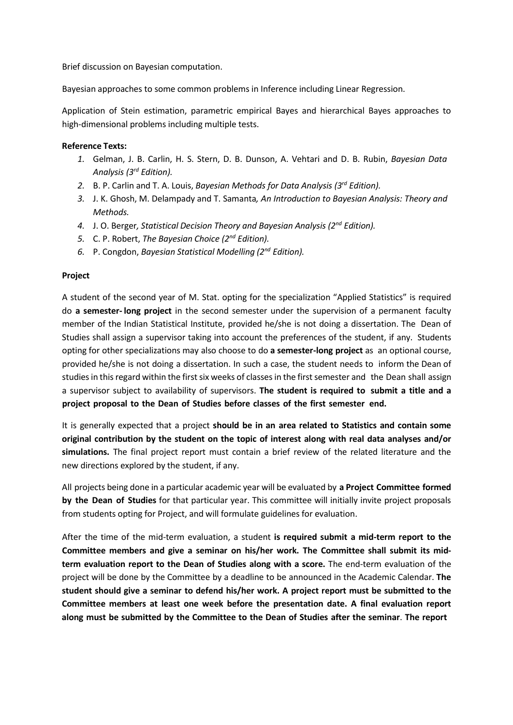Brief discussion on Bayesian computation.

Bayesian approaches to some common problems in Inference including Linear Regression.

Application of Stein estimation, parametric empirical Bayes and hierarchical Bayes approaches to high-dimensional problems including multiple tests.

#### **Reference Texts:**

- *1.* Gelman, J. B. Carlin, H. S. Stern, D. B. Dunson, A. Vehtari and D. B. Rubin, *Bayesian Data Analysis (3rd Edition).*
- *2.* B. P. Carlin and T. A. Louis, *Bayesian Methods for Data Analysis (3rd Edition).*
- *3.* J. K. Ghosh, M. Delampady and T. Samanta*, An Introduction to Bayesian Analysis: Theory and Methods.*
- *4.* J. O. Berger*, Statistical Decision Theory and Bayesian Analysis (2nd Edition).*
- *5.* C. P. Robert, *The Bayesian Choice (2nd Edition).*
- *6.* P. Congdon, *Bayesian Statistical Modelling (2nd Edition).*

#### **Project**

A student of the second year of M. Stat. opting for the specialization "Applied Statistics" is required do **a semester- long project** in the second semester under the supervision of a permanent faculty member of the Indian Statistical Institute, provided he/she is not doing a dissertation. The Dean of Studies shall assign a supervisor taking into account the preferences of the student, if any. Students opting for other specializations may also choose to do **a semester-long project** as an optional course, provided he/she is not doing a dissertation. In such a case, the student needs to inform the Dean of studies in this regard within the first six weeks of classes in the first semester and the Dean shall assign a supervisor subject to availability of supervisors. **The student is required to submit a title and a project proposal to the Dean of Studies before classes of the first semester end.**

It is generally expected that a project **should be in an area related to Statistics and contain some original contribution by the student on the topic of interest along with real data analyses and/or simulations.** The final project report must contain a brief review of the related literature and the new directions explored by the student, if any.

All projects being done in a particular academic year will be evaluated by **a Project Committee formed by the Dean of Studies** for that particular year. This committee will initially invite project proposals from students opting for Project, and will formulate guidelines for evaluation.

After the time of the mid-term evaluation, a student **is required submit a mid-term report to the Committee members and give a seminar on his/her work. The Committee shall submit its midterm evaluation report to the Dean of Studies along with a score.** The end-term evaluation of the project will be done by the Committee by a deadline to be announced in the Academic Calendar. **The student should give a seminar to defend his/her work. A project report must be submitted to the Committee members at least one week before the presentation date. A final evaluation report along must be submitted by the Committee to the Dean of Studies after the seminar**. **The report**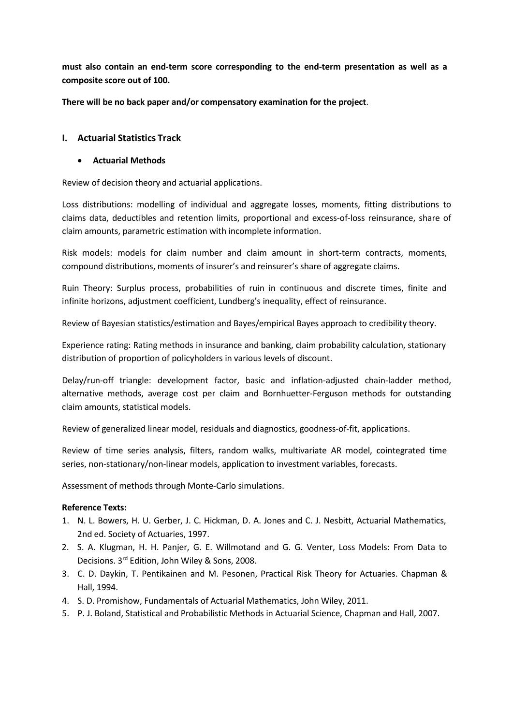**must also contain an end-term score corresponding to the end-term presentation as well as a composite score out of 100.**

**There will be no back paper and/or compensatory examination for the project**.

#### **I. Actuarial Statistics Track**

#### • **Actuarial Methods**

Review of decision theory and actuarial applications.

Loss distributions: modelling of individual and aggregate losses, moments, fitting distributions to claims data, deductibles and retention limits, proportional and excess-of-loss reinsurance, share of claim amounts, parametric estimation with incomplete information.

Risk models: models for claim number and claim amount in short-term contracts, moments, compound distributions, moments of insurer's and reinsurer's share of aggregate claims.

Ruin Theory: Surplus process, probabilities of ruin in continuous and discrete times, finite and infinite horizons, adjustment coefficient, Lundberg's inequality, effect of reinsurance.

Review of Bayesian statistics/estimation and Bayes/empirical Bayes approach to credibility theory.

Experience rating: Rating methods in insurance and banking, claim probability calculation, stationary distribution of proportion of policyholders in various levels of discount.

Delay/run-off triangle: development factor, basic and inflation-adjusted chain-ladder method, alternative methods, average cost per claim and Bornhuetter-Ferguson methods for outstanding claim amounts, statistical models.

Review of generalized linear model, residuals and diagnostics, goodness-of-fit, applications.

Review of time series analysis, filters, random walks, multivariate AR model, cointegrated time series, non-stationary/non-linear models, application to investment variables, forecasts.

Assessment of methods through Monte-Carlo simulations.

- 1. N. L. Bowers, H. U. Gerber, J. C. Hickman, D. A. Jones and C. J. Nesbitt, Actuarial Mathematics, 2nd ed. Society of Actuaries, 1997.
- 2. S. A. Klugman, H. H. Panjer, G. E. Willmotand and G. G. Venter, Loss Models: From Data to Decisions. 3rd Edition, John Wiley & Sons, 2008.
- 3. C. D. Daykin, T. Pentikainen and M. Pesonen, Practical Risk Theory for Actuaries. Chapman & Hall, 1994.
- 4. S. D. Promishow, Fundamentals of Actuarial Mathematics, John Wiley, 2011.
- 5. P. J. Boland, Statistical and Probabilistic Methods in Actuarial Science, Chapman and Hall, 2007.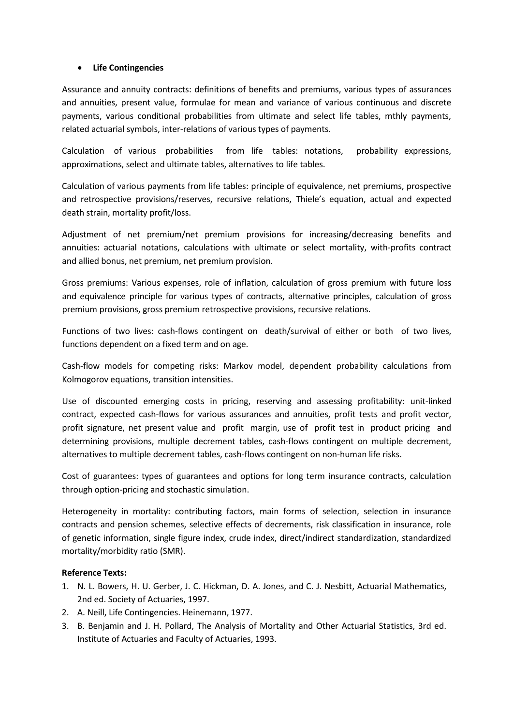#### • **Life Contingencies**

Assurance and annuity contracts: definitions of benefits and premiums, various types of assurances and annuities, present value, formulae for mean and variance of various continuous and discrete payments, various conditional probabilities from ultimate and select life tables, mthly payments, related actuarial symbols, inter-relations of various types of payments.

Calculation of various probabilities from life tables: notations, probability expressions, approximations, select and ultimate tables, alternatives to life tables.

Calculation of various payments from life tables: principle of equivalence, net premiums, prospective and retrospective provisions/reserves, recursive relations, Thiele's equation, actual and expected death strain, mortality profit/loss.

Adjustment of net premium/net premium provisions for increasing/decreasing benefits and annuities: actuarial notations, calculations with ultimate or select mortality, with-profits contract and allied bonus, net premium, net premium provision.

Gross premiums: Various expenses, role of inflation, calculation of gross premium with future loss and equivalence principle for various types of contracts, alternative principles, calculation of gross premium provisions, gross premium retrospective provisions, recursive relations.

Functions of two lives: cash-flows contingent on death/survival of either or both of two lives, functions dependent on a fixed term and on age.

Cash-flow models for competing risks: Markov model, dependent probability calculations from Kolmogorov equations, transition intensities.

Use of discounted emerging costs in pricing, reserving and assessing profitability: unit-linked contract, expected cash-flows for various assurances and annuities, profit tests and profit vector, profit signature, net present value and profit margin, use of profit test in product pricing and determining provisions, multiple decrement tables, cash-flows contingent on multiple decrement, alternatives to multiple decrement tables, cash-flows contingent on non-human life risks.

Cost of guarantees: types of guarantees and options for long term insurance contracts, calculation through option-pricing and stochastic simulation.

Heterogeneity in mortality: contributing factors, main forms of selection, selection in insurance contracts and pension schemes, selective effects of decrements, risk classification in insurance, role of genetic information, single figure index, crude index, direct/indirect standardization, standardized mortality/morbidity ratio (SMR).

- 1. N. L. Bowers, H. U. Gerber, J. C. Hickman, D. A. Jones, and C. J. Nesbitt, Actuarial Mathematics, 2nd ed. Society of Actuaries, 1997.
- 2. A. Neill, Life Contingencies. Heinemann, 1977.
- 3. B. Benjamin and J. H. Pollard, The Analysis of Mortality and Other Actuarial Statistics, 3rd ed. Institute of Actuaries and Faculty of Actuaries, 1993.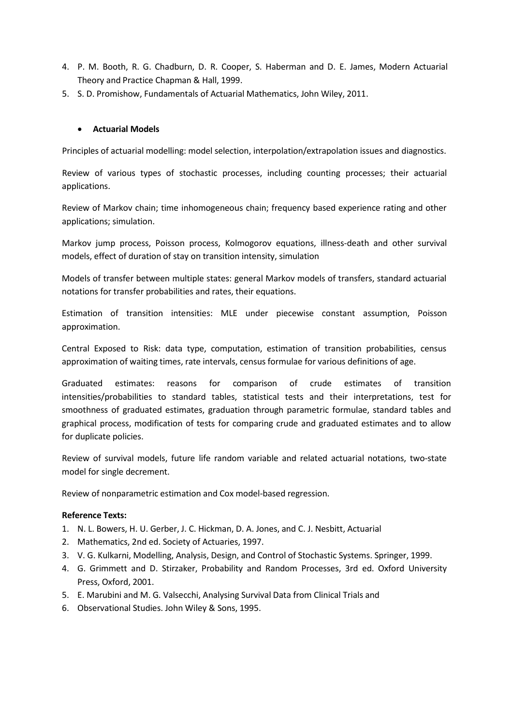- 4. P. M. Booth, R. G. Chadburn, D. R. Cooper, S. Haberman and D. E. James, Modern Actuarial Theory and Practice Chapman & Hall, 1999.
- 5. S. D. Promishow, Fundamentals of Actuarial Mathematics, John Wiley, 2011.

#### • **Actuarial Models**

Principles of actuarial modelling: model selection, interpolation/extrapolation issues and diagnostics.

Review of various types of stochastic processes, including counting processes; their actuarial applications.

Review of Markov chain; time inhomogeneous chain; frequency based experience rating and other applications; simulation.

Markov jump process, Poisson process, Kolmogorov equations, illness-death and other survival models, effect of duration of stay on transition intensity, simulation

Models of transfer between multiple states: general Markov models of transfers, standard actuarial notations for transfer probabilities and rates, their equations.

Estimation of transition intensities: MLE under piecewise constant assumption, Poisson approximation.

Central Exposed to Risk: data type, computation, estimation of transition probabilities, census approximation of waiting times, rate intervals, census formulae for various definitions of age.

Graduated estimates: reasons for comparison of crude estimates of transition intensities/probabilities to standard tables, statistical tests and their interpretations, test for smoothness of graduated estimates, graduation through parametric formulae, standard tables and graphical process, modification of tests for comparing crude and graduated estimates and to allow for duplicate policies.

Review of survival models, future life random variable and related actuarial notations, two-state model for single decrement.

Review of nonparametric estimation and Cox model-based regression.

- 1. N. L. Bowers, H. U. Gerber, J. C. Hickman, D. A. Jones, and C. J. Nesbitt, Actuarial
- 2. Mathematics, 2nd ed. Society of Actuaries, 1997.
- 3. V. G. Kulkarni, Modelling, Analysis, Design, and Control of Stochastic Systems. Springer, 1999.
- 4. G. Grimmett and D. Stirzaker, Probability and Random Processes, 3rd ed. Oxford University Press, Oxford, 2001.
- 5. E. Marubini and M. G. Valsecchi, Analysing Survival Data from Clinical Trials and
- 6. Observational Studies. John Wiley & Sons, 1995.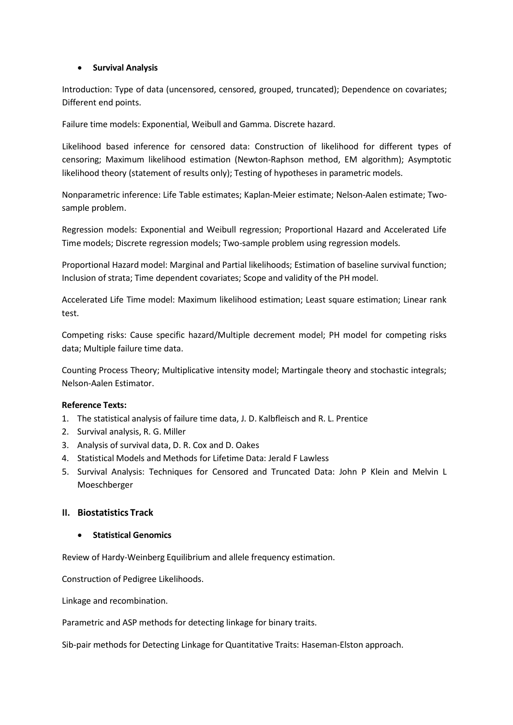#### • **Survival Analysis**

Introduction: Type of data (uncensored, censored, grouped, truncated); Dependence on covariates; Different end points.

Failure time models: Exponential, Weibull and Gamma. Discrete hazard.

Likelihood based inference for censored data: Construction of likelihood for different types of censoring; Maximum likelihood estimation (Newton-Raphson method, EM algorithm); Asymptotic likelihood theory (statement of results only); Testing of hypotheses in parametric models.

Nonparametric inference: Life Table estimates; Kaplan-Meier estimate; Nelson-Aalen estimate; Twosample problem.

Regression models: Exponential and Weibull regression; Proportional Hazard and Accelerated Life Time models; Discrete regression models; Two-sample problem using regression models.

Proportional Hazard model: Marginal and Partial likelihoods; Estimation of baseline survival function; Inclusion of strata; Time dependent covariates; Scope and validity of the PH model.

Accelerated Life Time model: Maximum likelihood estimation; Least square estimation; Linear rank test.

Competing risks: Cause specific hazard/Multiple decrement model; PH model for competing risks data; Multiple failure time data.

Counting Process Theory; Multiplicative intensity model; Martingale theory and stochastic integrals; Nelson-Aalen Estimator.

#### **Reference Texts:**

- 1. The statistical analysis of failure time data, J. D. Kalbfleisch and R. L. Prentice
- 2. Survival analysis, R. G. Miller
- 3. Analysis of survival data, D. R. Cox and D. Oakes
- 4. Statistical Models and Methods for Lifetime Data: Jerald F Lawless
- 5. Survival Analysis: Techniques for Censored and Truncated Data: John P Klein and Melvin L Moeschberger

#### **II. Biostatistics Track**

#### • **Statistical Genomics**

Review of Hardy-Weinberg Equilibrium and allele frequency estimation.

Construction of Pedigree Likelihoods.

Linkage and recombination.

Parametric and ASP methods for detecting linkage for binary traits.

Sib-pair methods for Detecting Linkage for Quantitative Traits: Haseman-Elston approach.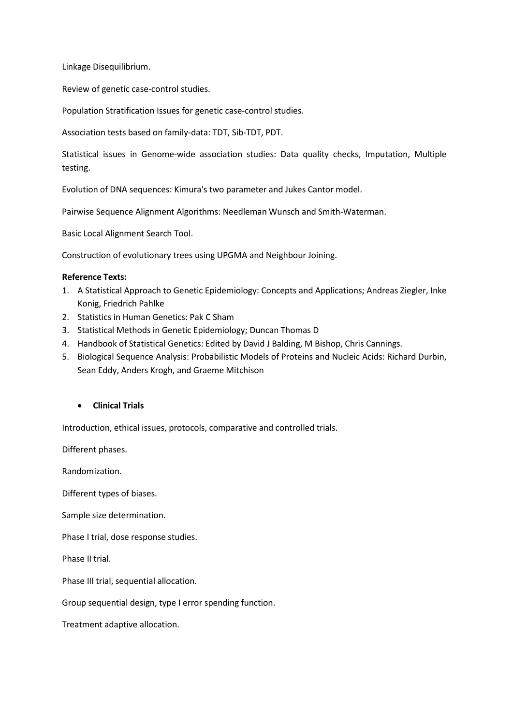Linkage Disequilibrium.

Review of genetic case-control studies.

Population Stratification Issues for genetic case-control studies.

Association tests based on family-data: TDT, Sib-TDT, PDT.

Statistical issues in Genome-wide association studies: Data quality checks, Imputation, Multiple testing.

Evolution of DNA sequences: Kimura's two parameter and Jukes Cantor model.

Pairwise Sequence Alignment Algorithms: Needleman Wunsch and Smith-Waterman.

Basic Local Alignment Search Tool.

Construction of evolutionary trees using UPGMA and Neighbour Joining.

#### **Reference Texts:**

- 1. A Statistical Approach to Genetic Epidemiology: Concepts and Applications; Andreas Ziegler, Inke Konig, Friedrich Pahlke
- 2. Statistics in Human Genetics: Pak C Sham
- 3. Statistical Methods in Genetic Epidemiology; Duncan Thomas D
- 4. Handbook of Statistical Genetics: Edited by David J Balding, M Bishop, Chris Cannings.
- 5. Biological Sequence Analysis: Probabilistic Models of Proteins and Nucleic Acids: Richard Durbin, Sean Eddy, Anders Krogh, and Graeme Mitchison

#### • **Clinical Trials**

Introduction, ethical issues, protocols, comparative and controlled trials.

Different phases.

Randomization.

Different types of biases.

Sample size determination.

Phase I trial, dose response studies.

Phase II trial.

Phase III trial, sequential allocation.

Group sequential design, type I error spending function.

Treatment adaptive allocation.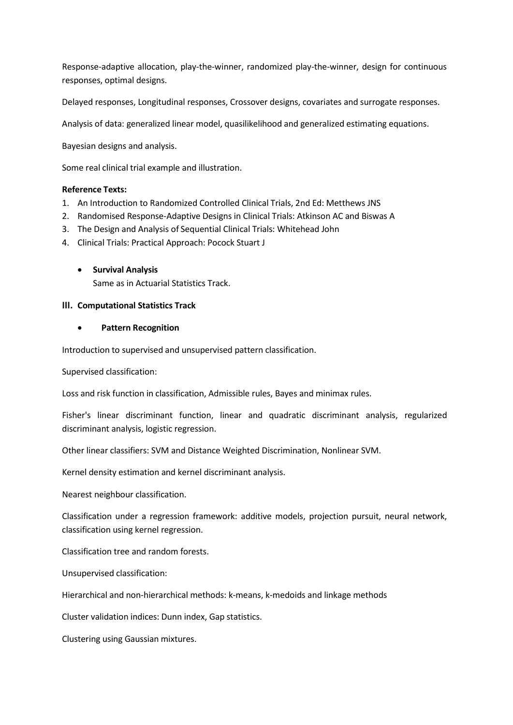Response-adaptive allocation, play-the-winner, randomized play-the-winner, design for continuous responses, optimal designs.

Delayed responses, Longitudinal responses, Crossover designs, covariates and surrogate responses.

Analysis of data: generalized linear model, quasilikelihood and generalized estimating equations.

Bayesian designs and analysis.

Some real clinical trial example and illustration.

#### **Reference Texts:**

- 1. An Introduction to Randomized Controlled Clinical Trials, 2nd Ed: Metthews JNS
- 2. Randomised Response-Adaptive Designs in Clinical Trials: Atkinson AC and Biswas A
- 3. The Design and Analysis of Sequential Clinical Trials: Whitehead John
- 4. Clinical Trials: Practical Approach: Pocock Stuart J
	- **Survival Analysis**

Same as in Actuarial Statistics Track.

#### **III. Computational Statistics Track**

#### • **Pattern Recognition**

Introduction to supervised and unsupervised pattern classification.

Supervised classification:

Loss and risk function in classification, Admissible rules, Bayes and minimax rules.

Fisher's linear discriminant function, linear and quadratic discriminant analysis, regularized discriminant analysis, logistic regression.

Other linear classifiers: SVM and Distance Weighted Discrimination, Nonlinear SVM.

Kernel density estimation and kernel discriminant analysis.

Nearest neighbour classification.

Classification under a regression framework: additive models, projection pursuit, neural network, classification using kernel regression.

Classification tree and random forests.

Unsupervised classification:

Hierarchical and non-hierarchical methods: k-means, k-medoids and linkage methods

Cluster validation indices: Dunn index, Gap statistics.

Clustering using Gaussian mixtures.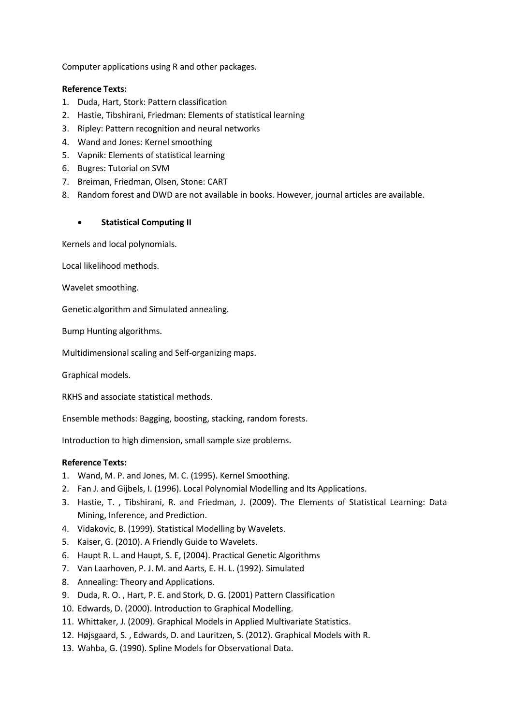Computer applications using R and other packages.

#### **Reference Texts:**

- 1. Duda, Hart, Stork: Pattern classification
- 2. Hastie, Tibshirani, Friedman: Elements of statistical learning
- 3. Ripley: Pattern recognition and neural networks
- 4. Wand and Jones: Kernel smoothing
- 5. Vapnik: Elements of statistical learning
- 6. Bugres: Tutorial on SVM
- 7. Breiman, Friedman, Olsen, Stone: CART
- 8. Random forest and DWD are not available in books. However, journal articles are available.

#### • **Statistical Computing II**

Kernels and local polynomials.

Local likelihood methods.

Wavelet smoothing.

Genetic algorithm and Simulated annealing.

Bump Hunting algorithms.

Multidimensional scaling and Self-organizing maps.

Graphical models.

RKHS and associate statistical methods.

Ensemble methods: Bagging, boosting, stacking, random forests.

Introduction to high dimension, small sample size problems.

- 1. Wand, M. P. and Jones, M. C. (1995). Kernel Smoothing.
- 2. Fan J. and Gijbels, I. (1996). Local Polynomial Modelling and Its Applications.
- 3. Hastie, T. , Tibshirani, R. and Friedman, J. (2009). The Elements of Statistical Learning: Data Mining, Inference, and Prediction.
- 4. Vidakovic, B. (1999). Statistical Modelling by Wavelets.
- 5. Kaiser, G. (2010). A Friendly Guide to Wavelets.
- 6. Haupt R. L. and Haupt, S. E, (2004). Practical Genetic Algorithms
- 7. Van Laarhoven, P. J. M. and Aarts, E. H. L. (1992). Simulated
- 8. Annealing: Theory and Applications.
- 9. Duda, R. O. , Hart, P. E. and Stork, D. G. (2001) Pattern Classification
- 10. Edwards, D. (2000). Introduction to Graphical Modelling.
- 11. Whittaker, J. (2009). Graphical Models in Applied Multivariate Statistics.
- 12. Højsgaard, S. , Edwards, D. and Lauritzen, S. (2012). Graphical Models with R.
- 13. Wahba, G. (1990). Spline Models for Observational Data.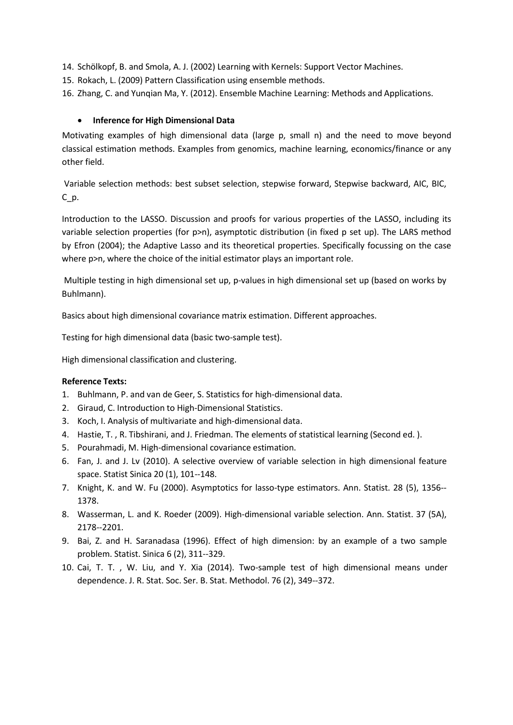- 14. Schölkopf, B. and Smola, A. J. (2002) Learning with Kernels: Support Vector Machines.
- 15. Rokach, L. (2009) Pattern Classification using ensemble methods.
- 16. Zhang, C. and Yunqian Ma, Y. (2012). Ensemble Machine Learning: Methods and Applications.

#### • **Inference for High Dimensional Data**

Motivating examples of high dimensional data (large p, small n) and the need to move beyond classical estimation methods. Examples from genomics, machine learning, economics/finance or any other field.

Variable selection methods: best subset selection, stepwise forward, Stepwise backward, AIC, BIC, C\_p.

Introduction to the LASSO. Discussion and proofs for various properties of the LASSO, including its variable selection properties (for p>n), asymptotic distribution (in fixed p set up). The LARS method by Efron (2004); the Adaptive Lasso and its theoretical properties. Specifically focussing on the case where p>n, where the choice of the initial estimator plays an important role.

Multiple testing in high dimensional set up, p-values in high dimensional set up (based on works by Buhlmann).

Basics about high dimensional covariance matrix estimation. Different approaches.

Testing for high dimensional data (basic two-sample test).

High dimensional classification and clustering.

- 1. Buhlmann, P. and van de Geer, S. Statistics for high-dimensional data.
- 2. Giraud, C. Introduction to High-Dimensional Statistics.
- 3. Koch, I. Analysis of multivariate and high-dimensional data.
- 4. Hastie, T. , R. Tibshirani, and J. Friedman. The elements of statistical learning (Second ed. ).
- 5. Pourahmadi, M. High-dimensional covariance estimation.
- 6. Fan, J. and J. Lv (2010). A selective overview of variable selection in high dimensional feature space. Statist Sinica 20 (1), 101--148.
- 7. Knight, K. and W. Fu (2000). Asymptotics for lasso-type estimators. Ann. Statist. 28 (5), 1356-- 1378.
- 8. Wasserman, L. and K. Roeder (2009). High-dimensional variable selection. Ann. Statist. 37 (5A), 2178--2201.
- 9. Bai, Z. and H. Saranadasa (1996). Effect of high dimension: by an example of a two sample problem. Statist. Sinica 6 (2), 311--329.
- 10. Cai, T. T. , W. Liu, and Y. Xia (2014). Two-sample test of high dimensional means under dependence. J. R. Stat. Soc. Ser. B. Stat. Methodol. 76 (2), 349--372.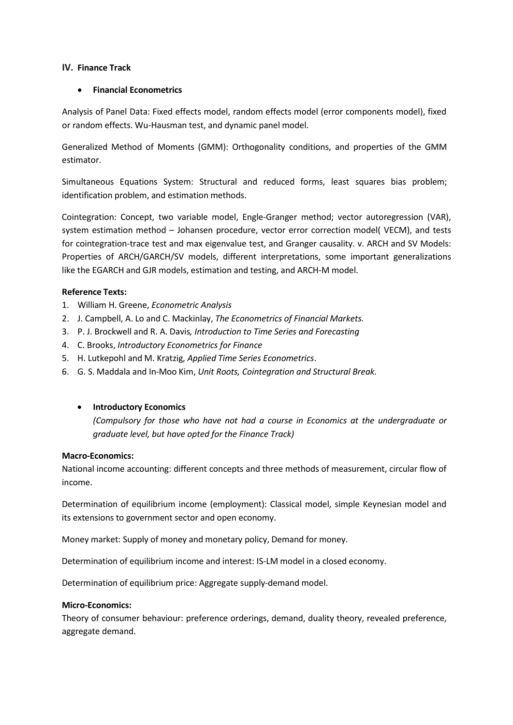#### **IV. Finance Track**

#### • **Financial Econometrics**

Analysis of Panel Data: Fixed effects model, random effects model (error components model), fixed or random effects. Wu-Hausman test, and dynamic panel model.

Generalized Method of Moments (GMM): Orthogonality conditions, and properties of the GMM estimator.

Simultaneous Equations System: Structural and reduced forms, least squares bias problem; identification problem, and estimation methods.

Cointegration: Concept, two variable model, Engle-Granger method; vector autoregression (VAR), system estimation method – Johansen procedure, vector error correction model( VECM), and tests for cointegration-trace test and max eigenvalue test, and Granger causality. v. ARCH and SV Models: Properties of ARCH/GARCH/SV models, different interpretations, some important generalizations like the EGARCH and GJR models, estimation and testing, and ARCH-M model.

#### **Reference Texts:**

- 1. William H. Greene, *Econometric Analysis*
- 2. J. Campbell, A. Lo and C. Mackinlay, *The Econometrics of Financial Markets.*
- 3. P. J. Brockwell and R. A. Davis*, Introduction to Time Series and Forecasting*
- 4. C. Brooks, *Introductory Econometrics for Finance*
- 5. H. Lutkepohl and M. Kratzig, *Applied Time Series Econometrics*.
- 6. G. S. Maddala and In-Moo Kim, *Unit Roots, Cointegration and Structural Break.*

#### • **Introductory Economics**

*(Compulsory for those who have not had a course in Economics at the undergraduate or graduate level, but have opted for the Finance Track)*

#### **Macro-Economics:**

National income accounting: different concepts and three methods of measurement, circular flow of income.

Determination of equilibrium income (employment): Classical model, simple Keynesian model and its extensions to government sector and open economy.

Money market: Supply of money and monetary policy, Demand for money.

Determination of equilibrium income and interest: IS-LM model in a closed economy.

Determination of equilibrium price: Aggregate supply-demand model.

#### **Micro-Economics:**

Theory of consumer behaviour: preference orderings, demand, duality theory, revealed preference, aggregate demand.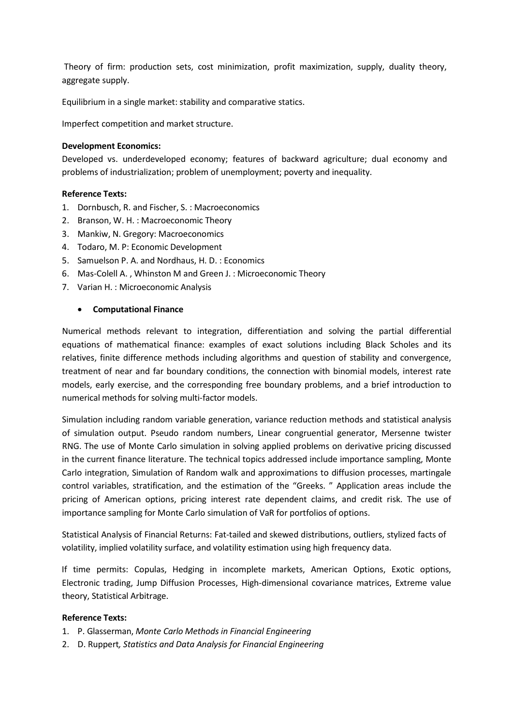Theory of firm: production sets, cost minimization, profit maximization, supply, duality theory, aggregate supply.

Equilibrium in a single market: stability and comparative statics.

Imperfect competition and market structure.

#### **Development Economics:**

Developed vs. underdeveloped economy; features of backward agriculture; dual economy and problems of industrialization; problem of unemployment; poverty and inequality.

#### **Reference Texts:**

- 1. Dornbusch, R. and Fischer, S. : Macroeconomics
- 2. Branson, W. H. : Macroeconomic Theory
- 3. Mankiw, N. Gregory: Macroeconomics
- 4. Todaro, M. P: Economic Development
- 5. Samuelson P. A. and Nordhaus, H. D. : Economics
- 6. Mas-Colell A. , Whinston M and Green J. : Microeconomic Theory
- 7. Varian H. : Microeconomic Analysis

#### • **Computational Finance**

Numerical methods relevant to integration, differentiation and solving the partial differential equations of mathematical finance: examples of exact solutions including Black Scholes and its relatives, finite difference methods including algorithms and question of stability and convergence, treatment of near and far boundary conditions, the connection with binomial models, interest rate models, early exercise, and the corresponding free boundary problems, and a brief introduction to numerical methods for solving multi-factor models.

Simulation including random variable generation, variance reduction methods and statistical analysis of simulation output. Pseudo random numbers, Linear congruential generator, Mersenne twister RNG. The use of Monte Carlo simulation in solving applied problems on derivative pricing discussed in the current finance literature. The technical topics addressed include importance sampling, Monte Carlo integration, Simulation of Random walk and approximations to diffusion processes, martingale control variables, stratification, and the estimation of the "Greeks. " Application areas include the pricing of American options, pricing interest rate dependent claims, and credit risk. The use of importance sampling for Monte Carlo simulation of VaR for portfolios of options.

Statistical Analysis of Financial Returns: Fat-tailed and skewed distributions, outliers, stylized facts of volatility, implied volatility surface, and volatility estimation using high frequency data.

If time permits: Copulas, Hedging in incomplete markets, American Options, Exotic options, Electronic trading, Jump Diffusion Processes, High-dimensional covariance matrices, Extreme value theory, Statistical Arbitrage.

- 1. P. Glasserman, *Monte Carlo Methods in Financial Engineering*
- 2. D. Ruppert*, Statistics and Data Analysis for Financial Engineering*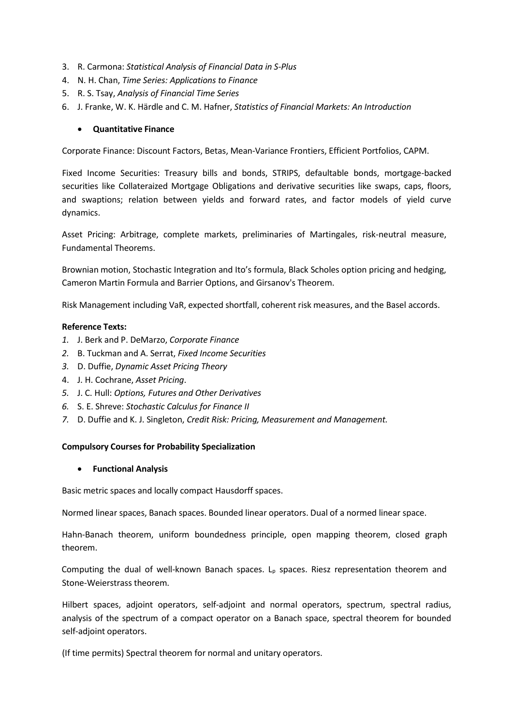- 3. R. Carmona: *Statistical Analysis of Financial Data in S-Plus*
- 4. N. H. Chan, *Time Series: Applications to Finance*
- 5. R. S. Tsay, *Analysis of Financial Time Series*
- 6. J. Franke, W. K. Härdle and C. M. Hafner, *Statistics of Financial Markets: An Introduction*

#### • **Quantitative Finance**

Corporate Finance: Discount Factors, Betas, Mean-Variance Frontiers, Efficient Portfolios, CAPM.

Fixed Income Securities: Treasury bills and bonds, STRIPS, defaultable bonds, mortgage-backed securities like Collateraized Mortgage Obligations and derivative securities like swaps, caps, floors, and swaptions; relation between yields and forward rates, and factor models of yield curve dynamics.

Asset Pricing: Arbitrage, complete markets, preliminaries of Martingales, risk-neutral measure, Fundamental Theorems.

Brownian motion, Stochastic Integration and Ito's formula, Black Scholes option pricing and hedging, Cameron Martin Formula and Barrier Options, and Girsanov's Theorem.

Risk Management including VaR, expected shortfall, coherent risk measures, and the Basel accords.

#### **Reference Texts:**

- *1.* J. Berk and P. DeMarzo, *Corporate Finance*
- *2.* B. Tuckman and A. Serrat, *Fixed Income Securities*
- *3.* D. Duffie, *Dynamic Asset Pricing Theory*
- 4. J. H. Cochrane, *Asset Pricing*.
- *5.* J. C. Hull: *Options, Futures and Other Derivatives*
- *6.* S. E. Shreve: *Stochastic Calculus for Finance II*
- *7.* D. Duffie and K. J. Singleton, *Credit Risk: Pricing, Measurement and Management.*

#### **Compulsory Courses for Probability Specialization**

• **Functional Analysis**

Basic metric spaces and locally compact Hausdorff spaces.

Normed linear spaces, Banach spaces. Bounded linear operators. Dual of a normed linear space.

Hahn-Banach theorem, uniform boundedness principle, open mapping theorem, closed graph theorem.

Computing the dual of well-known Banach spaces.  $L_p$  spaces. Riesz representation theorem and Stone-Weierstrass theorem.

Hilbert spaces, adjoint operators, self-adjoint and normal operators, spectrum, spectral radius, analysis of the spectrum of a compact operator on a Banach space, spectral theorem for bounded self-adjoint operators.

(If time permits) Spectral theorem for normal and unitary operators.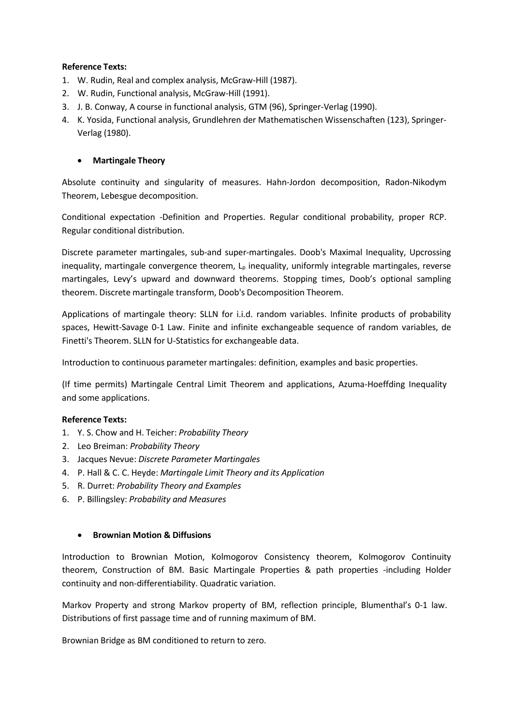- 1. W. Rudin, Real and complex analysis, McGraw-Hill (1987).
- 2. W. Rudin, Functional analysis, McGraw-Hill (1991).
- 3. J. B. Conway, A course in functional analysis, GTM (96), Springer-Verlag (1990).
- 4. K. Yosida, Functional analysis, Grundlehren der Mathematischen Wissenschaften (123), Springer-Verlag (1980).

#### • **Martingale Theory**

Absolute continuity and singularity of measures. Hahn-Jordon decomposition, Radon-Nikodym Theorem, Lebesgue decomposition.

Conditional expectation -Definition and Properties. Regular conditional probability, proper RCP. Regular conditional distribution.

Discrete parameter martingales, sub-and super-martingales. Doob's Maximal Inequality, Upcrossing inequality, martingale convergence theorem,  $L<sub>p</sub>$  inequality, uniformly integrable martingales, reverse martingales, Levy's upward and downward theorems. Stopping times, Doob's optional sampling theorem. Discrete martingale transform, Doob's Decomposition Theorem.

Applications of martingale theory: SLLN for i.i.d. random variables. Infinite products of probability spaces, Hewitt-Savage 0-1 Law. Finite and infinite exchangeable sequence of random variables, de Finetti's Theorem. SLLN for U-Statistics for exchangeable data.

Introduction to continuous parameter martingales: definition, examples and basic properties.

(If time permits) Martingale Central Limit Theorem and applications, Azuma-Hoeffding Inequality and some applications.

#### **Reference Texts:**

- 1. Y. S. Chow and H. Teicher: *Probability Theory*
- 2. Leo Breiman: *Probability Theory*
- 3. Jacques Nevue: *Discrete Parameter Martingales*
- 4. P. Hall & C. C. Heyde: *Martingale Limit Theory and its Application*
- 5. R. Durret: *Probability Theory and Examples*
- 6. P. Billingsley: *Probability and Measures*

#### • **Brownian Motion & Diffusions**

Introduction to Brownian Motion, Kolmogorov Consistency theorem, Kolmogorov Continuity theorem, Construction of BM. Basic Martingale Properties & path properties -including Holder continuity and non-differentiability. Quadratic variation.

Markov Property and strong Markov property of BM, reflection principle, Blumenthal's 0-1 law. Distributions of first passage time and of running maximum of BM.

Brownian Bridge as BM conditioned to return to zero.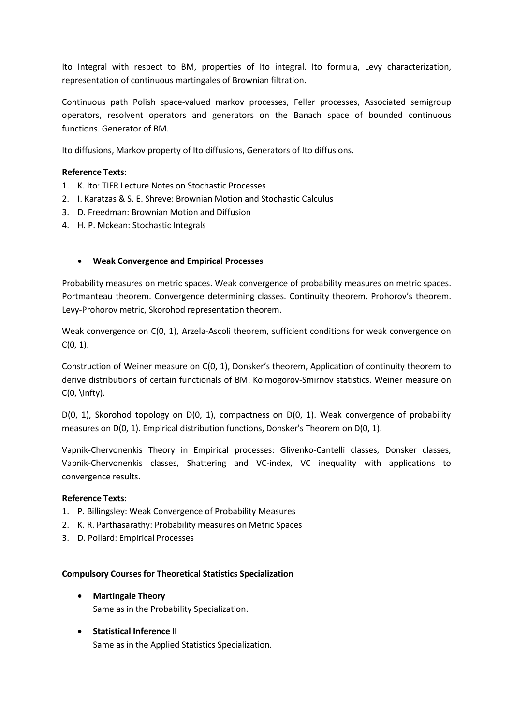Ito Integral with respect to BM, properties of Ito integral. Ito formula, Levy characterization, representation of continuous martingales of Brownian filtration.

Continuous path Polish space-valued markov processes, Feller processes, Associated semigroup operators, resolvent operators and generators on the Banach space of bounded continuous functions. Generator of BM.

Ito diffusions, Markov property of Ito diffusions, Generators of Ito diffusions.

#### **Reference Texts:**

- 1. K. Ito: TIFR Lecture Notes on Stochastic Processes
- 2. I. Karatzas & S. E. Shreve: Brownian Motion and Stochastic Calculus
- 3. D. Freedman: Brownian Motion and Diffusion
- 4. H. P. Mckean: Stochastic Integrals

#### • **Weak Convergence and Empirical Processes**

Probability measures on metric spaces. Weak convergence of probability measures on metric spaces. Portmanteau theorem. Convergence determining classes. Continuity theorem. Prohorov's theorem. Levy-Prohorov metric, Skorohod representation theorem.

Weak convergence on C(0, 1), Arzela-Ascoli theorem, sufficient conditions for weak convergence on  $C(0, 1)$ .

Construction of Weiner measure on C(0, 1), Donsker's theorem, Application of continuity theorem to derive distributions of certain functionals of BM. Kolmogorov-Smirnov statistics. Weiner measure on  $C(0, \infty)$ .

D(0, 1), Skorohod topology on D(0, 1), compactness on D(0, 1). Weak convergence of probability measures on D(0, 1). Empirical distribution functions, Donsker's Theorem on D(0, 1).

Vapnik-Chervonenkis Theory in Empirical processes: Glivenko-Cantelli classes, Donsker classes, Vapnik-Chervonenkis classes, Shattering and VC-index, VC inequality with applications to convergence results.

#### **Reference Texts:**

- 1. P. Billingsley: Weak Convergence of Probability Measures
- 2. K. R. Parthasarathy: Probability measures on Metric Spaces
- 3. D. Pollard: Empirical Processes

#### **Compulsory Courses for Theoretical Statistics Specialization**

• **Martingale Theory**

Same as in the Probability Specialization.

• **Statistical Inference II** Same as in the Applied Statistics Specialization.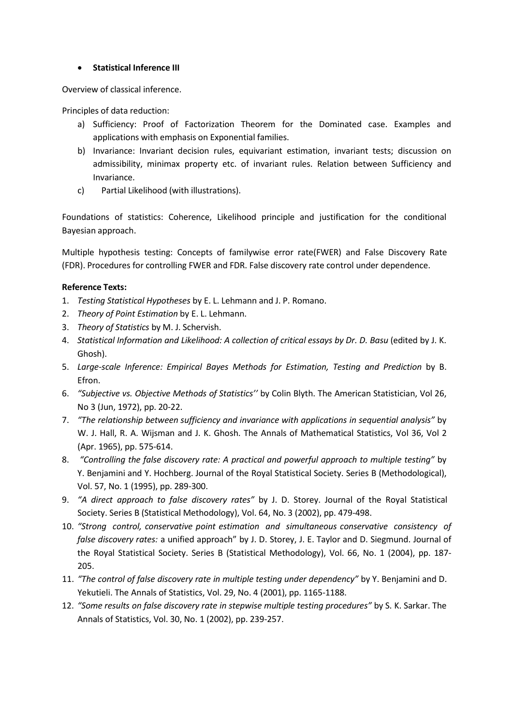#### • **Statistical Inference III**

Overview of classical inference.

Principles of data reduction:

- a) Sufficiency: Proof of Factorization Theorem for the Dominated case. Examples and applications with emphasis on Exponential families.
- b) Invariance: Invariant decision rules, equivariant estimation, invariant tests; discussion on admissibility, minimax property etc. of invariant rules. Relation between Sufficiency and Invariance.
- c) Partial Likelihood (with illustrations).

Foundations of statistics: Coherence, Likelihood principle and justification for the conditional Bayesian approach.

Multiple hypothesis testing: Concepts of familywise error rate(FWER) and False Discovery Rate (FDR). Procedures for controlling FWER and FDR. False discovery rate control under dependence.

- 1. *Testing Statistical Hypotheses* by E. L. Lehmann and J. P. Romano.
- 2. *Theory of Point Estimation* by E. L. Lehmann.
- 3. *Theory of Statistics* by M. J. Schervish.
- 4. *Statistical Information and Likelihood: A collection of critical essays by Dr. D. Basu* (edited by J. K. Ghosh).
- 5. *Large-scale Inference: Empirical Bayes Methods for Estimation, Testing and Prediction* by B. Efron.
- 6. *"Subjective vs. Objective Methods of Statistics''* by Colin Blyth. The American Statistician, Vol 26, No 3 (Jun, 1972), pp. 20-22.
- 7. *"The relationship between sufficiency and invariance with applications in sequential analysis"* by W. J. Hall, R. A. Wijsman and J. K. Ghosh. The Annals of Mathematical Statistics, Vol 36, Vol 2 (Apr. 1965), pp. 575-614.
- 8. *"Controlling the false discovery rate: A practical and powerful approach to multiple testing"* by Y. Benjamini and Y. Hochberg. Journal of the Royal Statistical Society. Series B (Methodological), Vol. 57, No. 1 (1995), pp. 289-300.
- 9. *"A direct approach to false discovery rates"* by J. D. Storey. Journal of the Royal Statistical Society. Series B (Statistical Methodology), Vol. 64, No. 3 (2002), pp. 479-498.
- 10. *"Strong control, conservative point estimation and simultaneous conservative consistency of false discovery rates:* a unified approach" by J. D. Storey, J. E. Taylor and D. Siegmund. Journal of the Royal Statistical Society. Series B (Statistical Methodology), Vol. 66, No. 1 (2004), pp. 187- 205.
- 11. *"The control of false discovery rate in multiple testing under dependency"* by Y. Benjamini and D. Yekutieli. The Annals of Statistics, Vol. 29, No. 4 (2001), pp. 1165-1188.
- 12. *"Some results on false discovery rate in stepwise multiple testing procedures"* by S. K. Sarkar. The Annals of Statistics, Vol. 30, No. 1 (2002), pp. 239-257.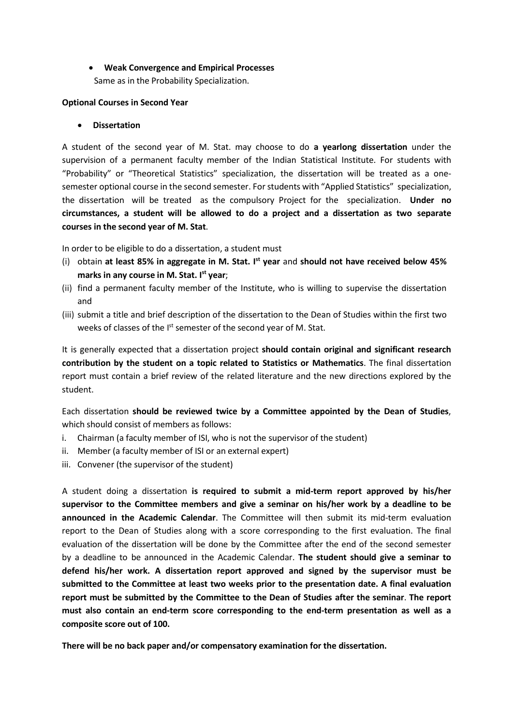#### • **Weak Convergence and Empirical Processes** Same as in the Probability Specialization.

#### **Optional Courses in Second Year**

#### • **Dissertation**

A student of the second year of M. Stat. may choose to do **a yearlong dissertation** under the supervision of a permanent faculty member of the Indian Statistical Institute. For students with "Probability" or "Theoretical Statistics" specialization, the dissertation will be treated as a onesemester optional course in the second semester. For students with "Applied Statistics" specialization, the dissertation will be treated as the compulsory Project for the specialization. **Under no circumstances, a student will be allowed to do a project and a dissertation as two separate courses in the second year of M. Stat**.

In order to be eligible to do a dissertation, a student must

- (i) obtain **at least 85% in aggregate in M. Stat. I st year** and **should not have received below 45% marks in any course in M. Stat. I st year**;
- (ii) find a permanent faculty member of the Institute, who is willing to supervise the dissertation and
- (iii) submit a title and brief description of the dissertation to the Dean of Studies within the first two weeks of classes of the I<sup>st</sup> semester of the second year of M. Stat.

It is generally expected that a dissertation project **should contain original and significant research contribution by the student on a topic related to Statistics or Mathematics**. The final dissertation report must contain a brief review of the related literature and the new directions explored by the student.

Each dissertation **should be reviewed twice by a Committee appointed by the Dean of Studies**, which should consist of members as follows:

- i. Chairman (a faculty member of ISI, who is not the supervisor of the student)
- ii. Member (a faculty member of ISI or an external expert)
- iii. Convener (the supervisor of the student)

A student doing a dissertation **is required to submit a mid-term report approved by his/her supervisor to the Committee members and give a seminar on his/her work by a deadline to be announced in the Academic Calendar**. The Committee will then submit its mid-term evaluation report to the Dean of Studies along with a score corresponding to the first evaluation. The final evaluation of the dissertation will be done by the Committee after the end of the second semester by a deadline to be announced in the Academic Calendar. **The student should give a seminar to defend his/her work. A dissertation report approved and signed by the supervisor must be submitted to the Committee at least two weeks prior to the presentation date. A final evaluation report must be submitted by the Committee to the Dean of Studies after the seminar**. **The report must also contain an end-term score corresponding to the end-term presentation as well as a composite score out of 100.**

**There will be no back paper and/or compensatory examination for the dissertation.**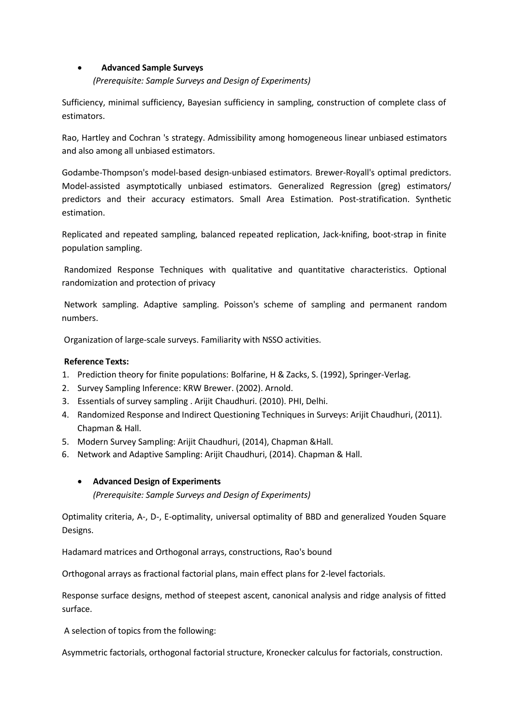#### • **Advanced Sample Surveys**

*(Prerequisite: Sample Surveys and Design of Experiments)*

Sufficiency, minimal sufficiency, Bayesian sufficiency in sampling, construction of complete class of estimators.

Rao, Hartley and Cochran 's strategy. Admissibility among homogeneous linear unbiased estimators and also among all unbiased estimators.

Godambe-Thompson's model-based design-unbiased estimators. Brewer-Royall's optimal predictors. Model-assisted asymptotically unbiased estimators. Generalized Regression (greg) estimators/ predictors and their accuracy estimators. Small Area Estimation. Post-stratification. Synthetic estimation.

Replicated and repeated sampling, balanced repeated replication, Jack-knifing, boot-strap in finite population sampling.

Randomized Response Techniques with qualitative and quantitative characteristics. Optional randomization and protection of privacy

Network sampling. Adaptive sampling. Poisson's scheme of sampling and permanent random numbers.

Organization of large-scale surveys. Familiarity with NSSO activities.

### **Reference Texts:**

- 1. Prediction theory for finite populations: Bolfarine, H & Zacks, S. (1992), Springer-Verlag.
- 2. Survey Sampling Inference: KRW Brewer. (2002). Arnold.
- 3. Essentials of survey sampling . Arijit Chaudhuri. (2010). PHI, Delhi.
- 4. Randomized Response and Indirect Questioning Techniques in Surveys: Arijit Chaudhuri, (2011). Chapman & Hall.
- 5. Modern Survey Sampling: Arijit Chaudhuri, (2014), Chapman &Hall.
- 6. Network and Adaptive Sampling: Arijit Chaudhuri, (2014). Chapman & Hall.

#### • **Advanced Design of Experiments**

*(Prerequisite: Sample Surveys and Design of Experiments)*

Optimality criteria, A-, D-, E-optimality, universal optimality of BBD and generalized Youden Square Designs.

Hadamard matrices and Orthogonal arrays, constructions, Rao's bound

Orthogonal arrays as fractional factorial plans, main effect plans for 2-level factorials.

Response surface designs, method of steepest ascent, canonical analysis and ridge analysis of fitted surface.

A selection of topics from the following:

Asymmetric factorials, orthogonal factorial structure, Kronecker calculus for factorials, construction.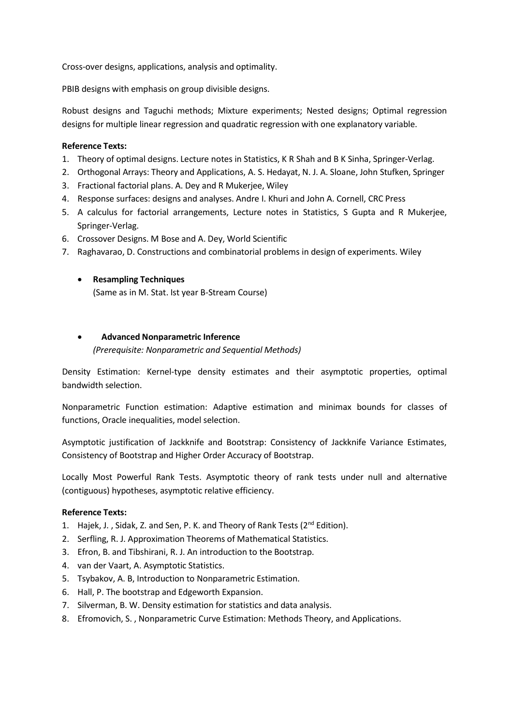Cross-over designs, applications, analysis and optimality.

PBIB designs with emphasis on group divisible designs.

Robust designs and Taguchi methods; Mixture experiments; Nested designs; Optimal regression designs for multiple linear regression and quadratic regression with one explanatory variable.

#### **Reference Texts:**

- 1. Theory of optimal designs. Lecture notes in Statistics, K R Shah and B K Sinha, Springer-Verlag.
- 2. Orthogonal Arrays: Theory and Applications, A. S. [Hedayat,](https://www.google.se/search?hl=sv&tbo=p&tbm=bks&q=inauthor%3A%22A.S.%2BHedayat%22) N. J. A. [Sloane,](https://www.google.se/search?hl=sv&tbo=p&tbm=bks&q=inauthor%3A%22N.J.A.%2BSloane%22) [John Stufken,](https://www.google.se/search?hl=sv&tbo=p&tbm=bks&q=inauthor%3A%22John%2BStufken%22) Springer
- 3. Fractional factorial plans. A. Dey and R Mukerjee, Wiley
- 4. Response surfaces: designs and analyses. [Andre](https://www.google.co.in/search?tbo=p&tbm=bks&q=inauthor%3A%22Andre%2BI.%2BKhuri%22) I. Khuri and [John A.](https://www.google.co.in/search?tbo=p&tbm=bks&q=inauthor%3A%22John%2BA.%2BCornell%22) Cornell, CRC Press
- 5. A calculus for factorial arrangements, Lecture notes in Statistics, S Gupta and R Mukerjee, Springer-Verlag.
- 6. Crossover Designs. M Bose and A. Dey, World Scientific
- 7. Raghavarao, D. Constructions and combinatorial problems in design of experiments. Wiley
	- **Resampling Techniques**

(Same as in M. Stat. Ist year B-Stream Course)

#### • **Advanced Nonparametric Inference**

*(Prerequisite: Nonparametric and Sequential Methods)*

Density Estimation: Kernel-type density estimates and their asymptotic properties, optimal bandwidth selection.

Nonparametric Function estimation: Adaptive estimation and minimax bounds for classes of functions, Oracle inequalities, model selection.

Asymptotic justification of Jackknife and Bootstrap: Consistency of Jackknife Variance Estimates, Consistency of Bootstrap and Higher Order Accuracy of Bootstrap.

Locally Most Powerful Rank Tests. Asymptotic theory of rank tests under null and alternative (contiguous) hypotheses, asymptotic relative efficiency.

- 1. Hajek, J., Sidak, Z. and Sen, P. K. and Theory of Rank Tests  $(2^{nd}$  Edition).
- 2. Serfling, R. J. Approximation Theorems of Mathematical Statistics.
- 3. Efron, B. and Tibshirani, R. J. An introduction to the Bootstrap.
- 4. van der Vaart, A. Asymptotic Statistics.
- 5. Tsybakov, A. B, Introduction to Nonparametric Estimation.
- 6. Hall, P. The bootstrap and Edgeworth Expansion.
- 7. Silverman, B. W. Density estimation for statistics and data analysis.
- 8. Efromovich, S. , Nonparametric Curve Estimation: Methods Theory, and Applications.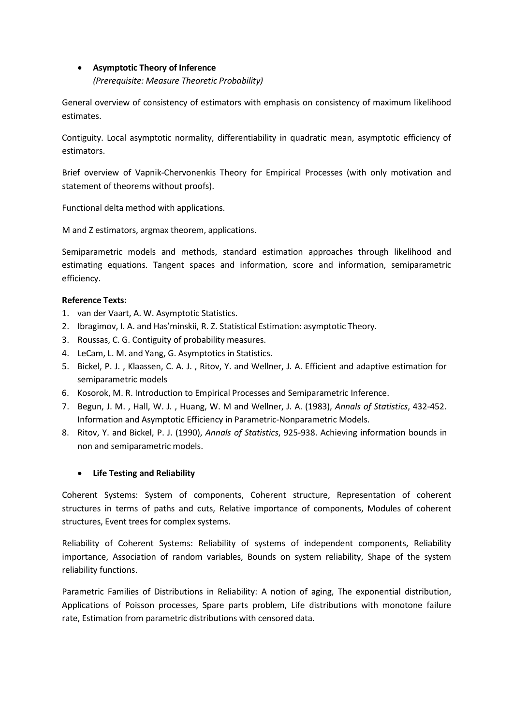#### • **Asymptotic Theory of Inference**

#### *(Prerequisite: Measure Theoretic Probability)*

General overview of consistency of estimators with emphasis on consistency of maximum likelihood estimates.

Contiguity. Local asymptotic normality, differentiability in quadratic mean, asymptotic efficiency of estimators.

Brief overview of Vapnik-Chervonenkis Theory for Empirical Processes (with only motivation and statement of theorems without proofs).

Functional delta method with applications.

M and Z estimators, argmax theorem, applications.

Semiparametric models and methods, standard estimation approaches through likelihood and estimating equations. Tangent spaces and information, score and information, semiparametric efficiency.

#### **Reference Texts:**

- 1. van der Vaart, A. W. Asymptotic Statistics.
- 2. Ibragimov, I. A. and Has'minskii, R. Z. Statistical Estimation: asymptotic Theory.
- 3. Roussas, C. G. Contiguity of probability measures.
- 4. LeCam, L. M. and Yang, G. Asymptotics in Statistics.
- 5. Bickel, P. J. , Klaassen, C. A. J. , Ritov, Y. and Wellner, J. A. Efficient and adaptive estimation for semiparametric models
- 6. Kosorok, M. R. Introduction to Empirical Processes and Semiparametric Inference.
- 7. Begun, J. M. , Hall, W. J. , Huang, W. M and Wellner, J. A. (1983), *Annals of Statistics*, 432-452. Information and Asymptotic Efficiency in Parametric-Nonparametric Models.
- 8. Ritov, Y. and Bickel, P. J. (1990), *Annals of Statistics*, 925-938. Achieving information bounds in non and semiparametric models.

#### • **Life Testing and Reliability**

Coherent Systems: System of components, Coherent structure, Representation of coherent structures in terms of paths and cuts, Relative importance of components, Modules of coherent structures, Event trees for complex systems.

Reliability of Coherent Systems: Reliability of systems of independent components, Reliability importance, Association of random variables, Bounds on system reliability, Shape of the system reliability functions.

Parametric Families of Distributions in Reliability: A notion of aging, The exponential distribution, Applications of Poisson processes, Spare parts problem, Life distributions with monotone failure rate, Estimation from parametric distributions with censored data.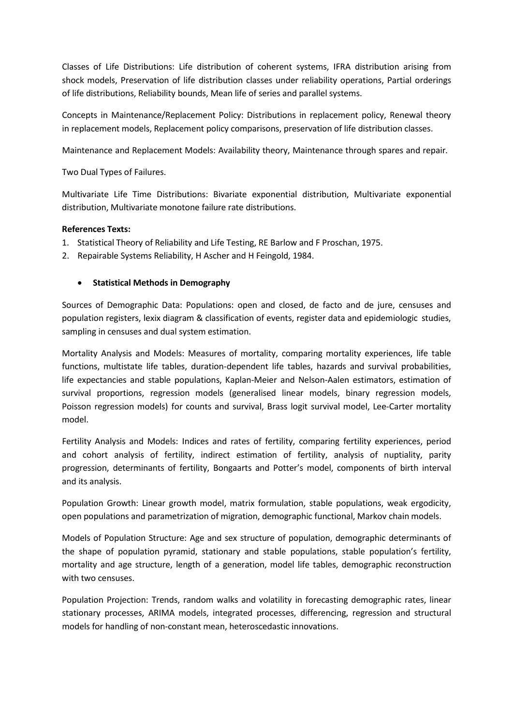Classes of Life Distributions: Life distribution of coherent systems, IFRA distribution arising from shock models, Preservation of life distribution classes under reliability operations, Partial orderings of life distributions, Reliability bounds, Mean life of series and parallel systems.

Concepts in Maintenance/Replacement Policy: Distributions in replacement policy, Renewal theory in replacement models, Replacement policy comparisons, preservation of life distribution classes.

Maintenance and Replacement Models: Availability theory, Maintenance through spares and repair.

Two Dual Types of Failures.

Multivariate Life Time Distributions: Bivariate exponential distribution, Multivariate exponential distribution, Multivariate monotone failure rate distributions.

#### **References Texts:**

- 1. Statistical Theory of Reliability and Life Testing, RE Barlow and F Proschan, 1975.
- 2. Repairable Systems Reliability, H Ascher and H Feingold, 1984.

#### • **Statistical Methods in Demography**

Sources of Demographic Data: Populations: open and closed, de facto and de jure, censuses and population registers, lexix diagram & classification of events, register data and epidemiologic studies, sampling in censuses and dual system estimation.

Mortality Analysis and Models: Measures of mortality, comparing mortality experiences, life table functions, multistate life tables, duration-dependent life tables, hazards and survival probabilities, life expectancies and stable populations, Kaplan-Meier and Nelson-Aalen estimators, estimation of survival proportions, regression models (generalised linear models, binary regression models, Poisson regression models) for counts and survival, Brass logit survival model, Lee-Carter mortality model.

Fertility Analysis and Models: Indices and rates of fertility, comparing fertility experiences, period and cohort analysis of fertility, indirect estimation of fertility, analysis of nuptiality, parity progression, determinants of fertility, Bongaarts and Potter's model, components of birth interval and its analysis.

Population Growth: Linear growth model, matrix formulation, stable populations, weak ergodicity, open populations and parametrization of migration, demographic functional, Markov chain models.

Models of Population Structure: Age and sex structure of population, demographic determinants of the shape of population pyramid, stationary and stable populations, stable population's fertility, mortality and age structure, length of a generation, model life tables, demographic reconstruction with two censuses.

Population Projection: Trends, random walks and volatility in forecasting demographic rates, linear stationary processes, ARIMA models, integrated processes, differencing, regression and structural models for handling of non-constant mean, heteroscedastic innovations.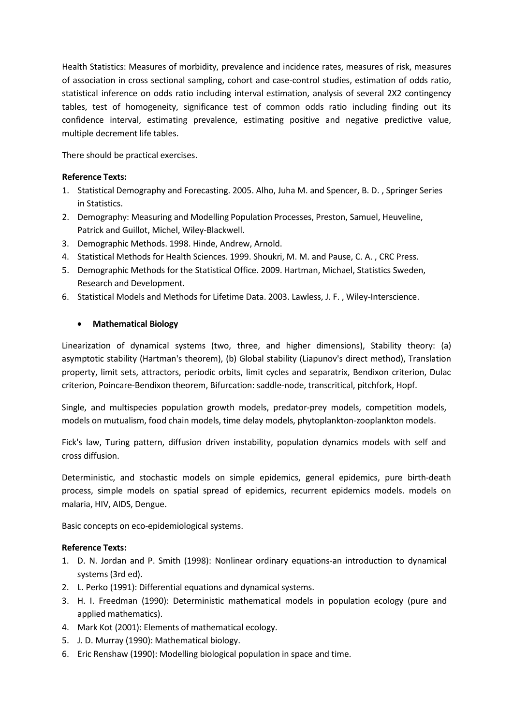Health Statistics: Measures of morbidity, prevalence and incidence rates, measures of risk, measures of association in cross sectional sampling, cohort and case-control studies, estimation of odds ratio, statistical inference on odds ratio including interval estimation, analysis of several 2X2 contingency tables, test of homogeneity, significance test of common odds ratio including finding out its confidence interval, estimating prevalence, estimating positive and negative predictive value, multiple decrement life tables.

There should be practical exercises.

#### **Reference Texts:**

- 1. Statistical Demography and Forecasting. 2005. Alho, Juha M. and Spencer, B. D. , Springer Series in Statistics.
- 2. Demography: Measuring and Modelling Population Processes, Preston, Samuel, Heuveline, Patrick and Guillot, Michel, Wiley-Blackwell.
- 3. Demographic Methods. 1998. Hinde, Andrew, Arnold.
- 4. Statistical Methods for Health Sciences. 1999. Shoukri, M. M. and Pause, C. A. , CRC Press.
- 5. Demographic Methods for the Statistical Office. 2009. Hartman, Michael, Statistics Sweden, Research and Development.
- 6. Statistical Models and Methods for Lifetime Data. 2003. Lawless, J. F. , Wiley-Interscience.

#### • **Mathematical Biology**

Linearization of dynamical systems (two, three, and higher dimensions), Stability theory: (a) asymptotic stability (Hartman's theorem), (b) Global stability (Liapunov's direct method), Translation property, limit sets, attractors, periodic orbits, limit cycles and separatrix, Bendixon criterion, Dulac criterion, Poincare-Bendixon theorem, Bifurcation: saddle-node, transcritical, pitchfork, Hopf.

Single, and multispecies population growth models, predator-prey models, competition models, models on mutualism, food chain models, time delay models, phytoplankton-zooplankton models.

Fick's law, Turing pattern, diffusion driven instability, population dynamics models with self and cross diffusion.

Deterministic, and stochastic models on simple epidemics, general epidemics, pure birth-death process, simple models on spatial spread of epidemics, recurrent epidemics models. models on malaria, HIV, AIDS, Dengue.

Basic concepts on eco-epidemiological systems.

- 1. D. N. Jordan and P. Smith (1998): Nonlinear ordinary equations-an introduction to dynamical systems (3rd ed).
- 2. L. Perko (1991): Differential equations and dynamical systems.
- 3. H. I. Freedman (1990): Deterministic mathematical models in population ecology (pure and applied mathematics).
- 4. Mark Kot (2001): Elements of mathematical ecology.
- 5. J. D. Murray (1990): Mathematical biology.
- 6. Eric Renshaw (1990): Modelling biological population in space and time.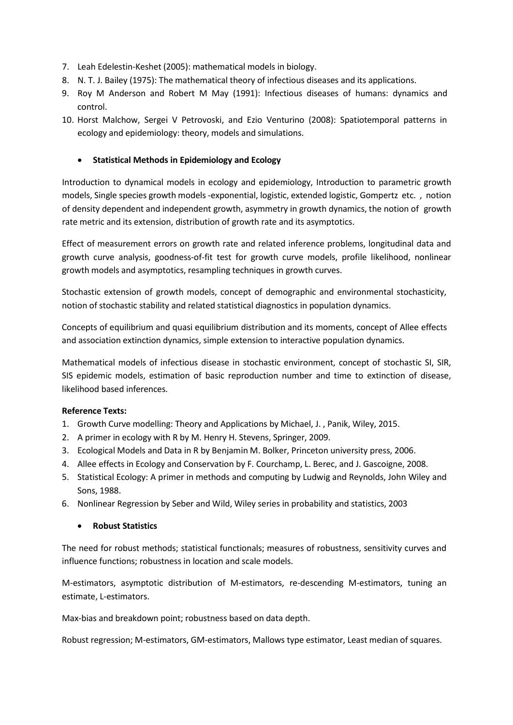- 7. Leah Edelestin-Keshet (2005): mathematical models in biology.
- 8. N. T. J. Bailey (1975): The mathematical theory of infectious diseases and its applications.
- 9. Roy M Anderson and Robert M May (1991): Infectious diseases of humans: dynamics and control.
- 10. Horst Malchow, Sergei V Petrovoski, and Ezio Venturino (2008): Spatiotemporal patterns in ecology and epidemiology: theory, models and simulations.

#### • **Statistical Methods in Epidemiology and Ecology**

Introduction to dynamical models in ecology and epidemiology, Introduction to parametric growth models, Single species growth models -exponential, logistic, extended logistic, Gompertz etc. , notion of density dependent and independent growth, asymmetry in growth dynamics, the notion of growth rate metric and its extension, distribution of growth rate and its asymptotics.

Effect of measurement errors on growth rate and related inference problems, longitudinal data and growth curve analysis, goodness-of-fit test for growth curve models, profile likelihood, nonlinear growth models and asymptotics, resampling techniques in growth curves.

Stochastic extension of growth models, concept of demographic and environmental stochasticity, notion of stochastic stability and related statistical diagnostics in population dynamics.

Concepts of equilibrium and quasi equilibrium distribution and its moments, concept of Allee effects and association extinction dynamics, simple extension to interactive population dynamics.

Mathematical models of infectious disease in stochastic environment, concept of stochastic SI, SIR, SIS epidemic models, estimation of basic reproduction number and time to extinction of disease, likelihood based inferences.

#### **Reference Texts:**

- 1. Growth Curve modelling: Theory and Applications by Michael, J. , Panik, Wiley, 2015.
- 2. A primer in ecology with R by M. Henry H. Stevens, Springer, 2009.
- 3. Ecological Models and Data in R by Benjamin M. Bolker, Princeton university press, 2006.
- 4. Allee effects in Ecology and Conservation by F. Courchamp, L. Berec, and J. Gascoigne, 2008.
- 5. Statistical Ecology: A primer in methods and computing by Ludwig and Reynolds, John Wiley and Sons, 1988.
- 6. Nonlinear Regression by Seber and Wild, Wiley series in probability and statistics, 2003

#### • **Robust Statistics**

The need for robust methods; statistical functionals; measures of robustness, sensitivity curves and influence functions; robustness in location and scale models.

M-estimators, asymptotic distribution of M-estimators, re-descending M-estimators, tuning an estimate, L-estimators.

Max-bias and breakdown point; robustness based on data depth.

Robust regression; M-estimators, GM-estimators, Mallows type estimator, Least median of squares.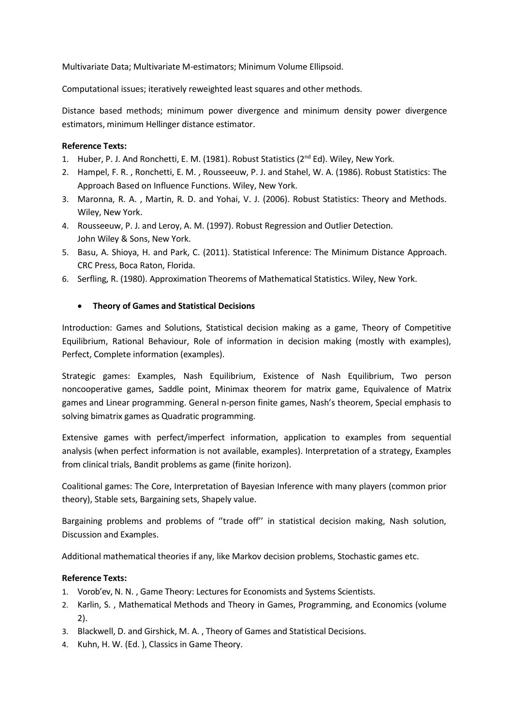Multivariate Data; Multivariate M-estimators; Minimum Volume Ellipsoid.

Computational issues; iteratively reweighted least squares and other methods.

Distance based methods; minimum power divergence and minimum density power divergence estimators, minimum Hellinger distance estimator.

#### **Reference Texts:**

- 1. Huber, P. J. And Ronchetti, E. M. (1981). Robust Statistics ( $2^{nd}$  Ed). Wiley, New York.
- 2. Hampel, F. R. , Ronchetti, E. M. , Rousseeuw, P. J. and Stahel, W. A. (1986). Robust Statistics: The Approach Based on Influence Functions. Wiley, New York.
- 3. Maronna, R. A. , Martin, R. D. and Yohai, V. J. (2006). Robust Statistics: Theory and Methods. Wiley, New York.
- 4. Rousseeuw, P. J. and Leroy, A. M. (1997). Robust Regression and Outlier Detection. John Wiley & Sons, New York.
- 5. Basu, A. Shioya, H. and Park, C. (2011). Statistical Inference: The Minimum Distance Approach. CRC Press, Boca Raton, Florida.
- 6. Serfling, R. (1980). Approximation Theorems of Mathematical Statistics. Wiley, New York.

#### • **Theory of Games and Statistical Decisions**

Introduction: Games and Solutions, Statistical decision making as a game, Theory of Competitive Equilibrium, Rational Behaviour, Role of information in decision making (mostly with examples), Perfect, Complete information (examples).

Strategic games: Examples, Nash Equilibrium, Existence of Nash Equilibrium, Two person noncooperative games, Saddle point, Minimax theorem for matrix game, Equivalence of Matrix games and Linear programming. General n-person finite games, Nash's theorem, Special emphasis to solving bimatrix games as Quadratic programming.

Extensive games with perfect/imperfect information, application to examples from sequential analysis (when perfect information is not available, examples). Interpretation of a strategy, Examples from clinical trials, Bandit problems as game (finite horizon).

Coalitional games: The Core, Interpretation of Bayesian Inference with many players (common prior theory), Stable sets, Bargaining sets, Shapely value.

Bargaining problems and problems of ''trade off'' in statistical decision making, Nash solution, Discussion and Examples.

Additional mathematical theories if any, like Markov decision problems, Stochastic games etc.

- 1. Vorob'ev, N. N. , Game Theory: Lectures for Economists and Systems Scientists.
- 2. Karlin, S. , Mathematical Methods and Theory in Games, Programming, and Economics (volume 2).
- 3. Blackwell, D. and Girshick, M. A. , Theory of Games and Statistical Decisions.
- 4. Kuhn, H. W. (Ed. ), Classics in Game Theory.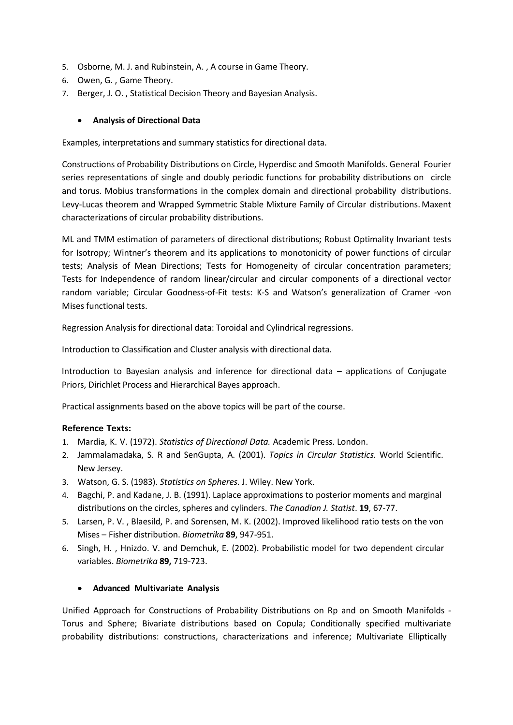- 5. Osborne, M. J. and Rubinstein, A. , A course in Game Theory.
- 6. Owen, G. , Game Theory.
- 7. Berger, J. O. , Statistical Decision Theory and Bayesian Analysis.

#### • **Analysis of Directional Data**

Examples, interpretations and summary statistics for directional data.

Constructions of Probability Distributions on Circle, Hyperdisc and Smooth Manifolds. General Fourier series representations of single and doubly periodic functions for probability distributions on circle and torus. Mobius transformations in the complex domain and directional probability distributions. Levy-Lucas theorem and Wrapped Symmetric Stable Mixture Family of Circular distributions. Maxent characterizations of circular probability distributions.

ML and TMM estimation of parameters of directional distributions; Robust Optimality Invariant tests for Isotropy; Wintner's theorem and its applications to monotonicity of power functions of circular tests; Analysis of Mean Directions; Tests for Homogeneity of circular concentration parameters; Tests for Independence of random linear/circular and circular components of a directional vector random variable; Circular Goodness-of-Fit tests: K-S and Watson's generalization of Cramer -von Mises functional tests.

Regression Analysis for directional data: Toroidal and Cylindrical regressions.

Introduction to Classification and Cluster analysis with directional data.

Introduction to Bayesian analysis and inference for directional data – applications of Conjugate Priors, Dirichlet Process and Hierarchical Bayes approach.

Practical assignments based on the above topics will be part of the course.

#### **Reference Texts:**

- 1. Mardia, K. V. (1972). *Statistics of Directional Data.* Academic Press. London.
- 2. Jammalamadaka, S. R and SenGupta, A. (2001). *Topics in Circular Statistics.* World Scientific. New Jersey.
- 3. Watson, G. S. (1983). *Statistics on Spheres.* J. Wiley. New York.
- 4. Bagchi, P. and Kadane, J. B. (1991). Laplace approximations to posterior moments and marginal distributions on the circles, spheres and cylinders. *The Canadian J. Statist*. **19**, 67-77.
- 5. Larsen, P. V. , Blaesild, P. and Sorensen, M. K. (2002). Improved likelihood ratio tests on the von Mises – Fisher distribution. *Biometrika* **89**, 947-951.
- 6. Singh, H. , Hnizdo. V. and Demchuk, E. (2002). Probabilistic model for two dependent circular variables. *Biometrika* **89,** 719-723.

#### • **Advanced Multivariate Analysis**

Unified Approach for Constructions of Probability Distributions on Rp and on Smooth Manifolds - Torus and Sphere; Bivariate distributions based on Copula; Conditionally specified multivariate probability distributions: constructions, characterizations and inference; Multivariate Elliptically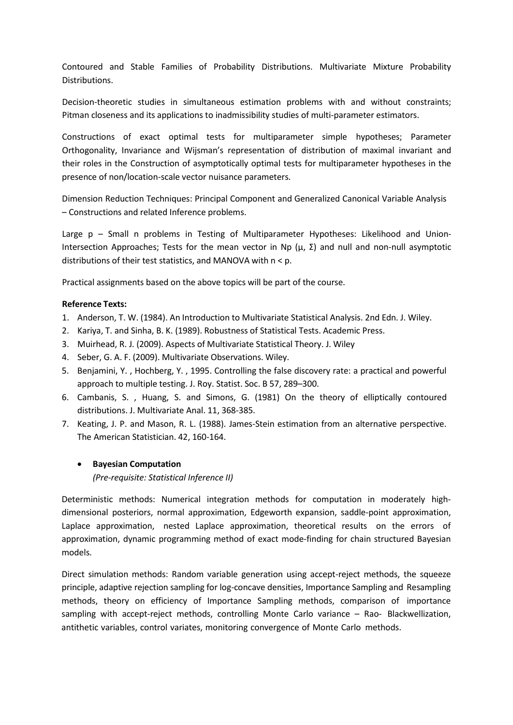Contoured and Stable Families of Probability Distributions. Multivariate Mixture Probability Distributions.

Decision-theoretic studies in simultaneous estimation problems with and without constraints; Pitman closeness and its applications to inadmissibility studies of multi-parameter estimators.

Constructions of exact optimal tests for multiparameter simple hypotheses; Parameter Orthogonality, Invariance and Wijsman's representation of distribution of maximal invariant and their roles in the Construction of asymptotically optimal tests for multiparameter hypotheses in the presence of non/location-scale vector nuisance parameters.

Dimension Reduction Techniques: Principal Component and Generalized Canonical Variable Analysis – Constructions and related Inference problems.

Large p – Small n problems in Testing of Multiparameter Hypotheses: Likelihood and Union-Intersection Approaches; Tests for the mean vector in Np (μ, Σ) and null and non-null asymptotic distributions of their test statistics, and MANOVA with n < p.

Practical assignments based on the above topics will be part of the course.

#### **Reference Texts:**

- 1. Anderson, T. W. (1984). An Introduction to Multivariate Statistical Analysis. 2nd Edn. J. Wiley.
- 2. Kariya, T. and Sinha, B. K. (1989). Robustness of Statistical Tests. Academic Press.
- 3. Muirhead, R. J. (2009). Aspects of Multivariate Statistical Theory. J. Wiley
- 4. Seber, G. A. F. (2009). Multivariate Observations. Wiley.
- 5. Benjamini, Y. , Hochberg, Y. , 1995. Controlling the false discovery rate: a practical and powerful approach to multiple testing. J. Roy. Statist. Soc. B 57, 289–300.
- 6. Cambanis, S. , Huang, S. and Simons, G. (1981) On the theory of elliptically contoured distributions. J. Multivariate Anal. 11, 368-385.
- 7. Keating, J. P. and Mason, R. L. (1988). James-Stein estimation from an alternative perspective. The American Statistician. 42, 160-164.

#### • **Bayesian Computation**

*(Pre-requisite: Statistical Inference II)*

Deterministic methods: Numerical integration methods for computation in moderately highdimensional posteriors, normal approximation, Edgeworth expansion, saddle-point approximation, Laplace approximation, nested Laplace approximation, theoretical results on the errors of approximation, dynamic programming method of exact mode-finding for chain structured Bayesian models.

Direct simulation methods: Random variable generation using accept-reject methods, the squeeze principle, adaptive rejection sampling for log-concave densities, Importance Sampling and Resampling methods, theory on efficiency of Importance Sampling methods, comparison of importance sampling with accept-reject methods, controlling Monte Carlo variance – Rao- Blackwellization, antithetic variables, control variates, monitoring convergence of Monte Carlo methods.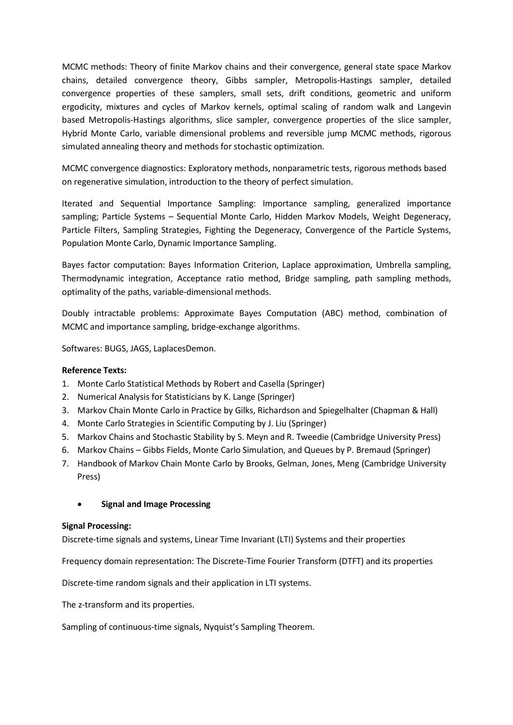MCMC methods: Theory of finite Markov chains and their convergence, general state space Markov chains, detailed convergence theory, Gibbs sampler, Metropolis-Hastings sampler, detailed convergence properties of these samplers, small sets, drift conditions, geometric and uniform ergodicity, mixtures and cycles of Markov kernels, optimal scaling of random walk and Langevin based Metropolis-Hastings algorithms, slice sampler, convergence properties of the slice sampler, Hybrid Monte Carlo, variable dimensional problems and reversible jump MCMC methods, rigorous simulated annealing theory and methods for stochastic optimization.

MCMC convergence diagnostics: Exploratory methods, nonparametric tests, rigorous methods based on regenerative simulation, introduction to the theory of perfect simulation.

Iterated and Sequential Importance Sampling: Importance sampling, generalized importance sampling; Particle Systems – Sequential Monte Carlo, Hidden Markov Models, Weight Degeneracy, Particle Filters, Sampling Strategies, Fighting the Degeneracy, Convergence of the Particle Systems, Population Monte Carlo, Dynamic Importance Sampling.

Bayes factor computation: Bayes Information Criterion, Laplace approximation, Umbrella sampling, Thermodynamic integration, Acceptance ratio method, Bridge sampling, path sampling methods, optimality of the paths, variable-dimensional methods.

Doubly intractable problems: Approximate Bayes Computation (ABC) method, combination of MCMC and importance sampling, bridge-exchange algorithms.

Softwares: BUGS, JAGS, LaplacesDemon.

#### **Reference Texts:**

- 1. Monte Carlo Statistical Methods by Robert and Casella (Springer)
- 2. Numerical Analysis for Statisticians by K. Lange (Springer)
- 3. Markov Chain Monte Carlo in Practice by Gilks, Richardson and Spiegelhalter (Chapman & Hall)
- 4. Monte Carlo Strategies in Scientific Computing by J. Liu (Springer)
- 5. Markov Chains and Stochastic Stability by S. Meyn and R. Tweedie (Cambridge University Press)
- 6. Markov Chains Gibbs Fields, Monte Carlo Simulation, and Queues by P. Bremaud (Springer)
- 7. Handbook of Markov Chain Monte Carlo by Brooks, Gelman, Jones, Meng (Cambridge University Press)

#### • **Signal and Image Processing**

#### **Signal Processing:**

Discrete-time signals and systems, Linear Time Invariant (LTI) Systems and their properties

Frequency domain representation: The Discrete-Time Fourier Transform (DTFT) and its properties

Discrete-time random signals and their application in LTI systems.

The z-transform and its properties.

Sampling of continuous-time signals, Nyquist's Sampling Theorem.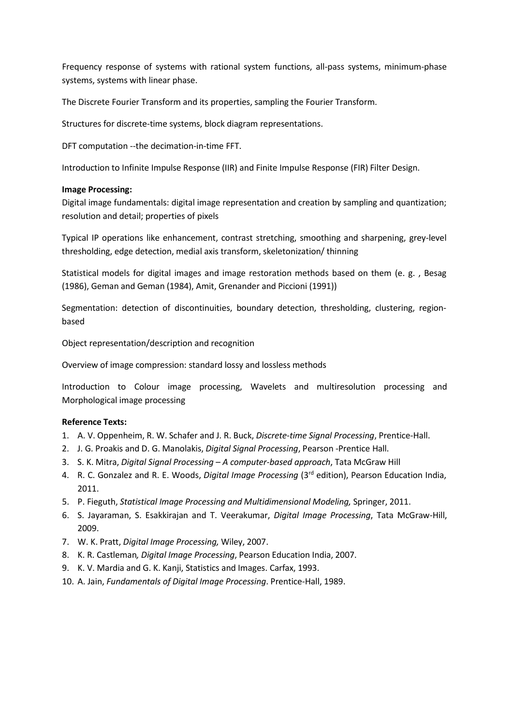Frequency response of systems with rational system functions, all-pass systems, minimum-phase systems, systems with linear phase.

The Discrete Fourier Transform and its properties, sampling the Fourier Transform.

Structures for discrete-time systems, block diagram representations.

DFT computation --the decimation-in-time FFT.

Introduction to Infinite Impulse Response (IIR) and Finite Impulse Response (FIR) Filter Design.

#### **Image Processing:**

Digital image fundamentals: digital image representation and creation by sampling and quantization; resolution and detail; properties of pixels

Typical IP operations like enhancement, contrast stretching, smoothing and sharpening, grey-level thresholding, edge detection, medial axis transform, skeletonization/ thinning

Statistical models for digital images and image restoration methods based on them (e. g. , Besag (1986), Geman and Geman (1984), Amit, Grenander and Piccioni (1991))

Segmentation: detection of discontinuities, boundary detection, thresholding, clustering, regionbased

Object representation/description and recognition

Overview of image compression: standard lossy and lossless methods

Introduction to Colour image processing, Wavelets and multiresolution processing and Morphological image processing

- 1. A. V. Oppenheim, R. W. Schafer and J. R. Buck, *Discrete-time Signal Processing*, Prentice-Hall.
- 2. J. G. Proakis and D. G. Manolakis, *Digital Signal Processing*, Pearson -Prentice Hall.
- 3. S. K. Mitra, *Digital Signal Processing – A computer-based approach*, Tata McGraw Hill
- 4. R. C. Gonzalez and R. E. Woods, *Digital Image Processing* (3rd edition), Pearson Education India, 2011.
- 5. P. Fieguth, *Statistical Image Processing and Multidimensional Modeling,* Springer, 2011.
- 6. S. Jayaraman, S. Esakkirajan and T. Veerakumar, *Digital Image Processing*, Tata McGraw-Hill, 2009.
- 7. W. K. Pratt, *Digital Image Processing,* Wiley, 2007.
- 8. K. R. Castleman*, Digital Image Processing*, Pearson Education India, 2007.
- 9. K. V. Mardia and G. K. Kanji, Statistics and Images. Carfax, 1993.
- 10. A. Jain, *Fundamentals of Digital Image Processing*. Prentice-Hall, 1989.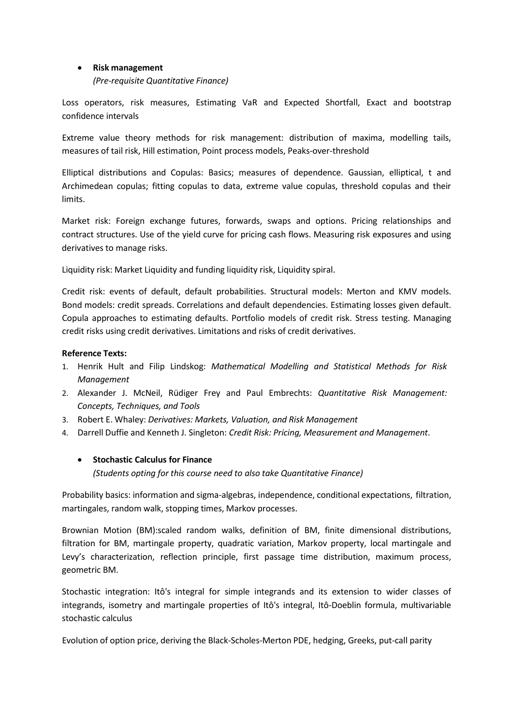#### • **Risk management**

*(Pre-requisite Quantitative Finance)*

Loss operators, risk measures, Estimating VaR and Expected Shortfall, Exact and bootstrap confidence intervals

Extreme value theory methods for risk management: distribution of maxima, modelling tails, measures of tail risk, Hill estimation, Point process models, Peaks-over-threshold

Elliptical distributions and Copulas: Basics; measures of dependence. Gaussian, elliptical, t and Archimedean copulas; fitting copulas to data, extreme value copulas, threshold copulas and their limits.

Market risk: Foreign exchange futures, forwards, swaps and options. Pricing relationships and contract structures. Use of the yield curve for pricing cash flows. Measuring risk exposures and using derivatives to manage risks.

Liquidity risk: Market Liquidity and funding liquidity risk, Liquidity spiral.

Credit risk: events of default, default probabilities. Structural models: Merton and KMV models. Bond models: credit spreads. Correlations and default dependencies. Estimating losses given default. Copula approaches to estimating defaults. Portfolio models of credit risk. Stress testing. Managing credit risks using credit derivatives. Limitations and risks of credit derivatives.

#### **Reference Texts:**

- 1. Henrik Hult and Filip Lindskog: *Mathematical Modelling and Statistical Methods for Risk Management*
- 2. Alexander J. McNeil, Rüdiger Frey and Paul Embrechts: *Quantitative Risk Management: Concepts, Techniques, and Tools*
- 3. Robert E. Whaley: *Derivatives: Markets, Valuation, and Risk Management*
- 4. Darrell Duffie and Kenneth J. Singleton: *Credit Risk: Pricing, Measurement and Management*.

#### • **Stochastic Calculus for Finance**

*(Students opting for this course need to also take Quantitative Finance)*

Probability basics: information and sigma-algebras, independence, conditional expectations, filtration, martingales, random walk, stopping times, Markov processes.

Brownian Motion (BM):scaled random walks, definition of BM, finite dimensional distributions, filtration for BM, martingale property, quadratic variation, Markov property, local martingale and Levy's characterization, reflection principle, first passage time distribution, maximum process, geometric BM.

Stochastic integration: Itô's integral for simple integrands and its extension to wider classes of integrands, isometry and martingale properties of Itô's integral, Itô-Doeblin formula, multivariable stochastic calculus

Evolution of option price, deriving the Black-Scholes-Merton PDE, hedging, Greeks, put-call parity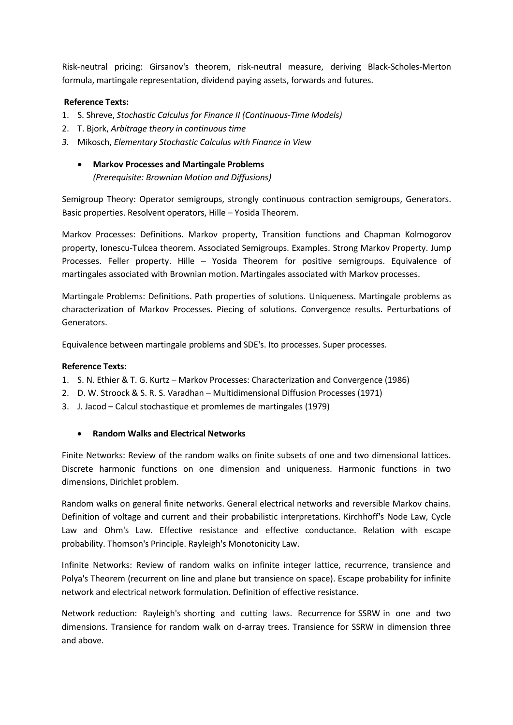Risk-neutral pricing: Girsanov's theorem, risk-neutral measure, deriving Black-Scholes-Merton formula, martingale representation, dividend paying assets, forwards and futures.

#### **Reference Texts:**

- 1. S. Shreve, *Stochastic Calculus for Finance II (Continuous-Time Models)*
- 2. T. Bjork, *Arbitrage theory in continuous time*
- *3.* Mikosch, *Elementary Stochastic Calculus with Finance in View*
	- **Markov Processes and Martingale Problems** *(Prerequisite: Brownian Motion and Diffusions)*

Semigroup Theory: Operator semigroups, strongly continuous contraction semigroups, Generators. Basic properties. Resolvent operators, Hille – Yosida Theorem.

Markov Processes: Definitions. Markov property, Transition functions and Chapman Kolmogorov property, Ionescu-Tulcea theorem. Associated Semigroups. Examples. Strong Markov Property. Jump Processes. Feller property. Hille – Yosida Theorem for positive semigroups. Equivalence of martingales associated with Brownian motion. Martingales associated with Markov processes.

Martingale Problems: Definitions. Path properties of solutions. Uniqueness. Martingale problems as characterization of Markov Processes. Piecing of solutions. Convergence results. Perturbations of Generators.

Equivalence between martingale problems and SDE's. Ito processes. Super processes.

#### **Reference Texts:**

- 1. S. N. Ethier & T. G. Kurtz Markov Processes: Characterization and Convergence (1986)
- 2. D. W. Stroock & S. R. S. Varadhan Multidimensional Diffusion Processes (1971)
- 3. J. Jacod Calcul stochastique et promlemes de martingales (1979)

#### • **Random Walks and Electrical Networks**

Finite Networks: Review of the random walks on finite subsets of one and two dimensional lattices. Discrete harmonic functions on one dimension and uniqueness. Harmonic functions in two dimensions, Dirichlet problem.

Random walks on general finite networks. General electrical networks and reversible Markov chains. Definition of voltage and current and their probabilistic interpretations. Kirchhoff's Node Law, Cycle Law and Ohm's Law. Effective resistance and effective conductance. Relation with escape probability. Thomson's Principle. Rayleigh's Monotonicity Law.

Infinite Networks: Review of random walks on infinite integer lattice, recurrence, transience and Polya's Theorem (recurrent on line and plane but transience on space). Escape probability for infinite network and electrical network formulation. Definition of effective resistance.

Network reduction: Rayleigh's shorting and cutting laws. Recurrence for SSRW in one and two dimensions. Transience for random walk on d-array trees. Transience for SSRW in dimension three and above.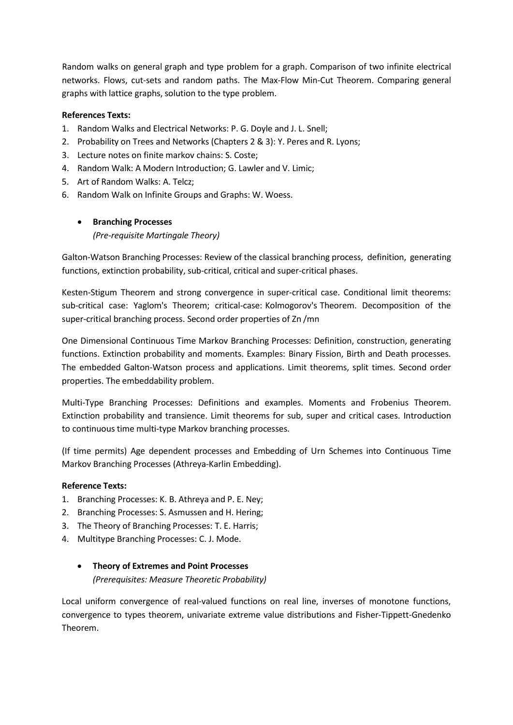Random walks on general graph and type problem for a graph. Comparison of two infinite electrical networks. Flows, cut-sets and random paths. The Max-Flow Min-Cut Theorem. Comparing general graphs with lattice graphs, solution to the type problem.

#### **References Texts:**

- 1. Random Walks and Electrical Networks: P. G. Doyle and J. L. Snell;
- 2. Probability on Trees and Networks (Chapters 2 & 3): Y. Peres and R. Lyons;
- 3. Lecture notes on finite markov chains: S. Coste;
- 4. Random Walk: A Modern Introduction; G. Lawler and V. Limic;
- 5. Art of Random Walks: A. Telcz;
- 6. Random Walk on Infinite Groups and Graphs: W. Woess.

## • **Branching Processes**

*(Pre-requisite Martingale Theory)*

Galton-Watson Branching Processes: Review of the classical branching process, definition, generating functions, extinction probability, sub-critical, critical and super-critical phases.

Kesten-Stigum Theorem and strong convergence in super-critical case. Conditional limit theorems: sub-critical case: Yaglom's Theorem; critical-case: Kolmogorov's Theorem. Decomposition of the super-critical branching process. Second order properties of Zn /mn

One Dimensional Continuous Time Markov Branching Processes: Definition, construction, generating functions. Extinction probability and moments. Examples: Binary Fission, Birth and Death processes. The embedded Galton-Watson process and applications. Limit theorems, split times. Second order properties. The embeddability problem.

Multi-Type Branching Processes: Definitions and examples. Moments and Frobenius Theorem. Extinction probability and transience. Limit theorems for sub, super and critical cases. Introduction to continuous time multi-type Markov branching processes.

(If time permits) Age dependent processes and Embedding of Urn Schemes into Continuous Time Markov Branching Processes (Athreya-Karlin Embedding).

#### **Reference Texts:**

- 1. Branching Processes: K. B. Athreya and P. E. Ney;
- 2. Branching Processes: S. Asmussen and H. Hering;
- 3. The Theory of Branching Processes: T. E. Harris;
- 4. Multitype Branching Processes: C. J. Mode.
	- **Theory of Extremes and Point Processes** *(Prerequisites: Measure Theoretic Probability)*

Local uniform convergence of real-valued functions on real line, inverses of monotone functions, convergence to types theorem, univariate extreme value distributions and Fisher-Tippett-Gnedenko Theorem.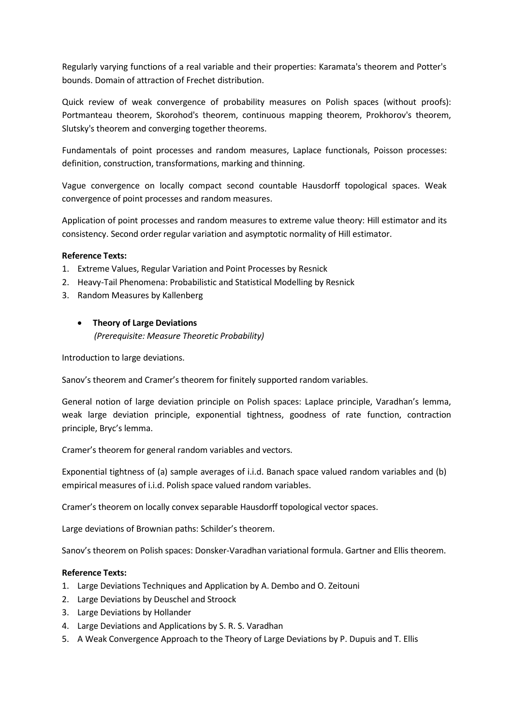Regularly varying functions of a real variable and their properties: Karamata's theorem and Potter's bounds. Domain of attraction of Frechet distribution.

Quick review of weak convergence of probability measures on Polish spaces (without proofs): Portmanteau theorem, Skorohod's theorem, continuous mapping theorem, Prokhorov's theorem, Slutsky's theorem and converging together theorems.

Fundamentals of point processes and random measures, Laplace functionals, Poisson processes: definition, construction, transformations, marking and thinning.

Vague convergence on locally compact second countable Hausdorff topological spaces. Weak convergence of point processes and random measures.

Application of point processes and random measures to extreme value theory: Hill estimator and its consistency. Second order regular variation and asymptotic normality of Hill estimator.

#### **Reference Texts:**

- 1. Extreme Values, Regular Variation and Point Processes by Resnick
- 2. Heavy-Tail Phenomena: Probabilistic and Statistical Modelling by Resnick
- 3. Random Measures by Kallenberg

#### • **Theory of Large Deviations**

*(Prerequisite: Measure Theoretic Probability)*

Introduction to large deviations.

Sanov's theorem and Cramer's theorem for finitely supported random variables.

General notion of large deviation principle on Polish spaces: Laplace principle, Varadhan's lemma, weak large deviation principle, exponential tightness, goodness of rate function, contraction principle, Bryc's lemma.

Cramer's theorem for general random variables and vectors.

Exponential tightness of (a) sample averages of i.i.d. Banach space valued random variables and (b) empirical measures of i.i.d. Polish space valued random variables.

Cramer's theorem on locally convex separable Hausdorff topological vector spaces.

Large deviations of Brownian paths: Schilder's theorem.

Sanov's theorem on Polish spaces: Donsker-Varadhan variational formula. Gartner and Ellis theorem.

- 1. Large Deviations Techniques and Application by A. Dembo and O. Zeitouni
- 2. Large Deviations by Deuschel and Stroock
- 3. Large Deviations by Hollander
- 4. Large Deviations and Applications by S. R. S. Varadhan
- 5. A Weak Convergence Approach to the Theory of Large Deviations by P. Dupuis and T. Ellis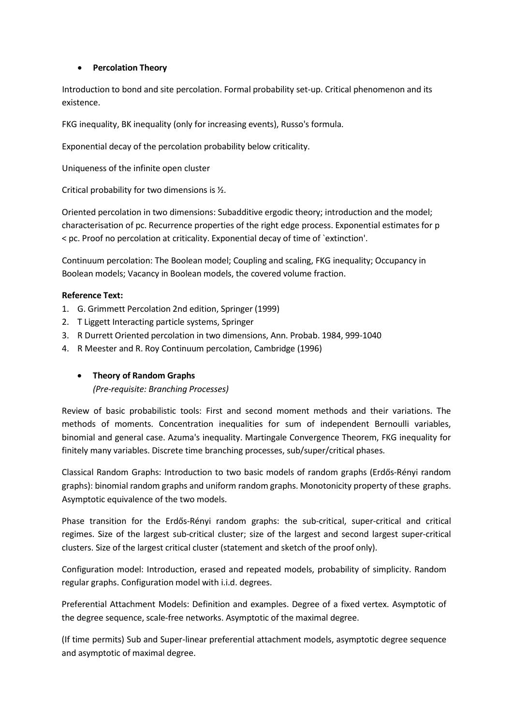#### • **Percolation Theory**

Introduction to bond and site percolation. Formal probability set-up. Critical phenomenon and its existence.

FKG inequality, BK inequality (only for increasing events), Russo's formula.

Exponential decay of the percolation probability below criticality.

Uniqueness of the infinite open cluster

Critical probability for two dimensions is ½.

Oriented percolation in two dimensions: Subadditive ergodic theory; introduction and the model; characterisation of pc. Recurrence properties of the right edge process. Exponential estimates for p < pc. Proof no percolation at criticality. Exponential decay of time of `extinction'.

Continuum percolation: The Boolean model; Coupling and scaling, FKG inequality; Occupancy in Boolean models; Vacancy in Boolean models, the covered volume fraction.

#### **Reference Text:**

- 1. G. Grimmett Percolation 2nd edition, Springer (1999)
- 2. T Liggett Interacting particle systems, Springer
- 3. R Durrett Oriented percolation in two dimensions, Ann. Probab. 1984, 999-1040
- 4. R Meester and R. Roy Continuum percolation, Cambridge (1996)

### • **Theory of Random Graphs**

*(Pre-requisite: Branching Processes)*

Review of basic probabilistic tools: First and second moment methods and their variations. The methods of moments. Concentration inequalities for sum of independent Bernoulli variables, binomial and general case. Azuma's inequality. Martingale Convergence Theorem, FKG inequality for finitely many variables. Discrete time branching processes, sub/super/critical phases.

Classical Random Graphs: Introduction to two basic models of random graphs (Erdős-Rényi random graphs): binomial random graphs and uniform random graphs. Monotonicity property of these graphs. Asymptotic equivalence of the two models.

Phase transition for the Erdős-Rényi random graphs: the sub-critical, super-critical and critical regimes. Size of the largest sub-critical cluster; size of the largest and second largest super-critical clusters. Size of the largest critical cluster (statement and sketch of the proof only).

Configuration model: Introduction, erased and repeated models, probability of simplicity. Random regular graphs. Configuration model with i.i.d. degrees.

Preferential Attachment Models: Definition and examples. Degree of a fixed vertex. Asymptotic of the degree sequence, scale-free networks. Asymptotic of the maximal degree.

(If time permits) Sub and Super-linear preferential attachment models, asymptotic degree sequence and asymptotic of maximal degree.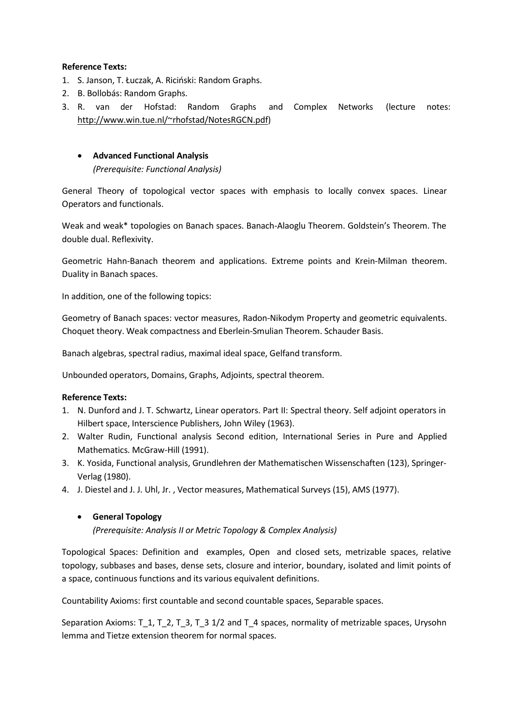- 1. S. Janson, T. Łuczak, A. Riciński: Random Graphs.
- 2. B. Bollobás: Random Graphs.
- 3. R. van der Hofstad: Random Graphs and Complex Networks (lecture notes: [http://www.win.tue.nl/~rhofstad/NotesRGCN.pdf\)](http://www.win.tue.nl/%7Erhofstad/NotesRGCN.pdf)

#### • **Advanced Functional Analysis**

*(Prerequisite: Functional Analysis)*

General Theory of topological vector spaces with emphasis to locally convex spaces. Linear Operators and functionals.

Weak and weak\* topologies on Banach spaces. Banach-Alaoglu Theorem. Goldstein's Theorem. The double dual. Reflexivity.

Geometric Hahn-Banach theorem and applications. Extreme points and Krein-Milman theorem. Duality in Banach spaces.

In addition, one of the following topics:

Geometry of Banach spaces: vector measures, Radon-Nikodym Property and geometric equivalents. Choquet theory. Weak compactness and Eberlein-Smulian Theorem. Schauder Basis.

Banach algebras, spectral radius, maximal ideal space, Gelfand transform.

Unbounded operators, Domains, Graphs, Adjoints, spectral theorem.

#### **Reference Texts:**

- 1. N. Dunford and J. T. Schwartz, Linear operators. Part II: Spectral theory. Self adjoint operators in Hilbert space, Interscience Publishers, John Wiley (1963).
- 2. Walter Rudin, Functional analysis Second edition, International Series in Pure and Applied Mathematics. McGraw-Hill (1991).
- 3. K. Yosida, Functional analysis, Grundlehren der Mathematischen Wissenschaften (123), Springer-Verlag (1980).
- 4. J. Diestel and J. J. Uhl, Jr. , Vector measures, Mathematical Surveys (15), AMS (1977).
	- **General Topology**

*(Prerequisite: Analysis II or Metric Topology & Complex Analysis)*

Topological Spaces: Definition and examples, Open and closed sets, metrizable spaces, relative topology, subbases and bases, dense sets, closure and interior, boundary, isolated and limit points of a space, continuous functions and its various equivalent definitions.

Countability Axioms: first countable and second countable spaces, Separable spaces.

Separation Axioms: T\_1, T\_2, T\_3, T\_3 1/2 and T\_4 spaces, normality of metrizable spaces, Urysohn lemma and Tietze extension theorem for normal spaces.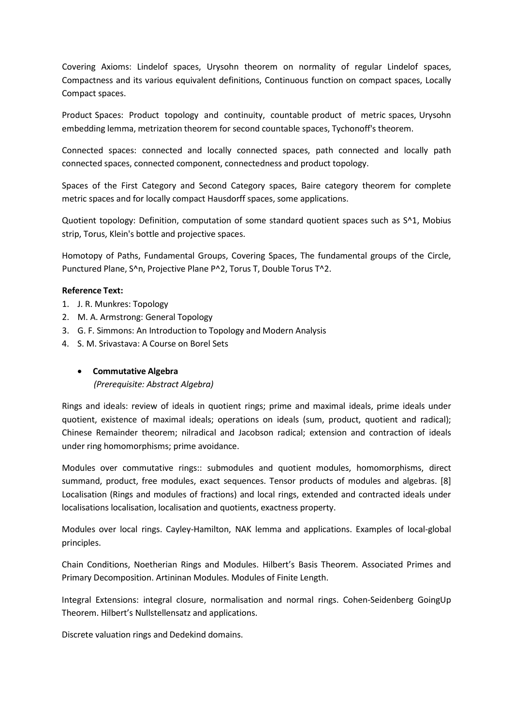Covering Axioms: Lindelof spaces, Urysohn theorem on normality of regular Lindelof spaces, Compactness and its various equivalent definitions, Continuous function on compact spaces, Locally Compact spaces.

Product Spaces: Product topology and continuity, countable product of metric spaces, Urysohn embedding lemma, metrization theorem for second countable spaces, Tychonoff's theorem.

Connected spaces: connected and locally connected spaces, path connected and locally path connected spaces, connected component, connectedness and product topology.

Spaces of the First Category and Second Category spaces, Baire category theorem for complete metric spaces and for locally compact Hausdorff spaces, some applications.

Quotient topology: Definition, computation of some standard quotient spaces such as S^1, Mobius strip, Torus, Klein's bottle and projective spaces.

Homotopy of Paths, Fundamental Groups, Covering Spaces, The fundamental groups of the Circle, Punctured Plane, S^n, Projective Plane P^2, Torus T, Double Torus T^2.

#### **Reference Text:**

- 1. J. R. Munkres: Topology
- 2. M. A. Armstrong: General Topology
- 3. G. F. Simmons: An Introduction to Topology and Modern Analysis
- 4. S. M. Srivastava: A Course on Borel Sets

#### • **Commutative Algebra**

*(Prerequisite: Abstract Algebra)*

Rings and ideals: review of ideals in quotient rings; prime and maximal ideals, prime ideals under quotient, existence of maximal ideals; operations on ideals (sum, product, quotient and radical); Chinese Remainder theorem; nilradical and Jacobson radical; extension and contraction of ideals under ring homomorphisms; prime avoidance.

Modules over commutative rings:: submodules and quotient modules, homomorphisms, direct summand, product, free modules, exact sequences. Tensor products of modules and algebras. [8] Localisation (Rings and modules of fractions) and local rings, extended and contracted ideals under localisations localisation, localisation and quotients, exactness property.

Modules over local rings. Cayley-Hamilton, NAK lemma and applications. Examples of local-global principles.

Chain Conditions, Noetherian Rings and Modules. Hilbert's Basis Theorem. Associated Primes and Primary Decomposition. Artininan Modules. Modules of Finite Length.

Integral Extensions: integral closure, normalisation and normal rings. Cohen-Seidenberg GoingUp Theorem. Hilbert's Nullstellensatz and applications.

Discrete valuation rings and Dedekind domains.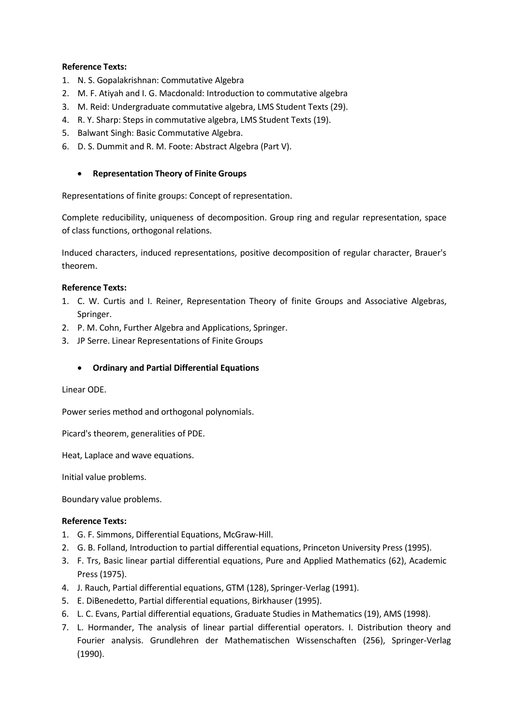- 1. N. S. Gopalakrishnan: Commutative Algebra
- 2. M. F. Atiyah and I. G. Macdonald: Introduction to commutative algebra
- 3. M. Reid: Undergraduate commutative algebra, LMS Student Texts (29).
- 4. R. Y. Sharp: Steps in commutative algebra, LMS Student Texts (19).
- 5. Balwant Singh: Basic Commutative Algebra.
- 6. D. S. Dummit and R. M. Foote: Abstract Algebra (Part V).

#### • **Representation Theory of Finite Groups**

Representations of finite groups: Concept of representation.

Complete reducibility, uniqueness of decomposition. Group ring and regular representation, space of class functions, orthogonal relations.

Induced characters, induced representations, positive decomposition of regular character, Brauer's theorem.

#### **Reference Texts:**

- 1. C. W. Curtis and I. Reiner, Representation Theory of finite Groups and Associative Algebras, Springer.
- 2. P. M. Cohn, Further Algebra and Applications, Springer.
- 3. JP Serre. Linear Representations of Finite Groups

#### • **Ordinary and Partial Differential Equations**

Linear ODE.

Power series method and orthogonal polynomials.

Picard's theorem, generalities of PDE.

Heat, Laplace and wave equations.

Initial value problems.

Boundary value problems.

- 1. G. F. Simmons, Differential Equations, McGraw-Hill.
- 2. G. B. Folland, Introduction to partial differential equations, Princeton University Press (1995).
- 3. F. Trs, Basic linear partial differential equations, Pure and Applied Mathematics (62), Academic Press (1975).
- 4. J. Rauch, Partial differential equations, GTM (128), Springer-Verlag (1991).
- 5. E. DiBenedetto, Partial differential equations, Birkhauser (1995).
- 6. L. C. Evans, Partial differential equations, Graduate Studies in Mathematics (19), AMS (1998).
- 7. L. Hormander, The analysis of linear partial differential operators. I. Distribution theory and Fourier analysis. Grundlehren der Mathematischen Wissenschaften (256), Springer-Verlag (1990).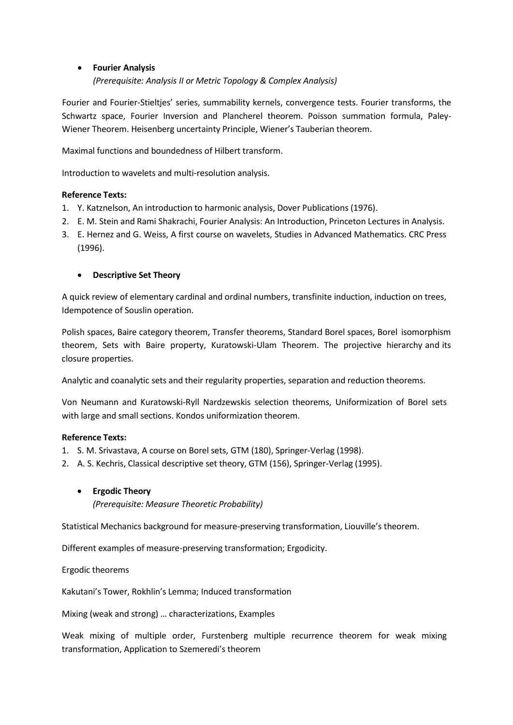#### • **Fourier Analysis**

*(Prerequisite: Analysis II or Metric Topology & Complex Analysis)*

Fourier and Fourier-Stieltjes' series, summability kernels, convergence tests. Fourier transforms, the Schwartz space, Fourier Inversion and Plancherel theorem. Poisson summation formula, Paley-Wiener Theorem. Heisenberg uncertainty Principle, Wiener's Tauberian theorem.

Maximal functions and boundedness of Hilbert transform.

Introduction to wavelets and multi-resolution analysis.

### **Reference Texts:**

- 1. Y. Katznelson, An introduction to harmonic analysis, Dover Publications (1976).
- 2. E. M. Stein and Rami Shakrachi, Fourier Analysis: An Introduction, Princeton Lectures in Analysis.
- 3. E. Hernez and G. Weiss, A first course on wavelets, Studies in Advanced Mathematics. CRC Press (1996).

### • **Descriptive Set Theory**

A quick review of elementary cardinal and ordinal numbers, transfinite induction, induction on trees, Idempotence of Souslin operation.

Polish spaces, Baire category theorem, Transfer theorems, Standard Borel spaces, Borel isomorphism theorem, Sets with Baire property, Kuratowski-Ulam Theorem. The projective hierarchy and its closure properties.

Analytic and coanalytic sets and their regularity properties, separation and reduction theorems.

Von Neumann and Kuratowski-Ryll Nardzewskis selection theorems, Uniformization of Borel sets with large and small sections. Kondos uniformization theorem.

#### **Reference Texts:**

- 1. S. M. Srivastava, A course on Borel sets, GTM (180), Springer-Verlag (1998).
- 2. A. S. Kechris, Classical descriptive set theory, GTM (156), Springer-Verlag (1995).

#### • **Ergodic Theory**

*(Prerequisite: Measure Theoretic Probability)*

Statistical Mechanics background for measure-preserving transformation, Liouville's theorem.

Different examples of measure-preserving transformation; Ergodicity.

Ergodic theorems

Kakutani's Tower, Rokhlin's Lemma; Induced transformation

Mixing (weak and strong) … characterizations, Examples

Weak mixing of multiple order, Furstenberg multiple recurrence theorem for weak mixing transformation, Application to Szemeredi's theorem